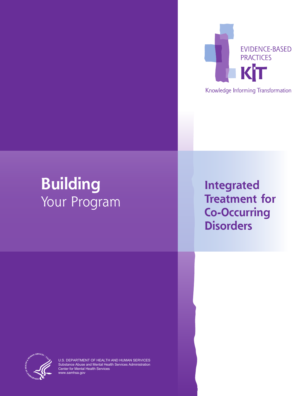

Knowledge Informing Transformation

# **Building**  Your Program

**Integrated Treatment for Co-Occurring Disorders**



U.S. DEPARTMENT OF HEALTH AND HUMAN SERVICES Substance Abuse and Mental Health Services Administration Center for Mental Health Services www.samhsa.gov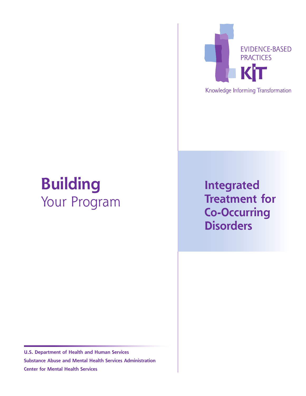

Knowledge Informing Transformation

# **Building** Your Program

**Integrated Treatment for Co-Occurring Disorders**

**U.S. Department of Health and Human Services Substance Abuse and Mental Health Services Administration Center for Mental Health Services**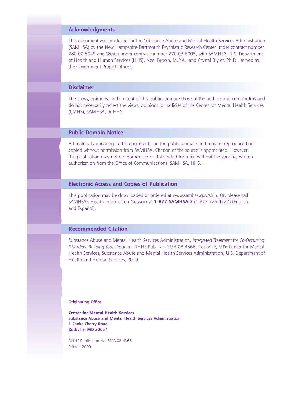#### **Acknowledgments**

This document was produced for the Substance Abuse and Mental Health Services Administration (SAMHSA) by the New Hampshire-Dartmouth Psychiatric Research Center under contract number 280-00-8049 and Westat under contract number 270-03-6005, with SAMHSA, U.S. Department of Health and Human Services (HHS). Neal Brown, M.P.A., and Crystal Blyler, Ph.D., served as the Government Project Officers.

#### **Disclaimer**

The views, opinions, and content of this publication are those of the authors and contributors and do not necessarily reflect the views, opinions, or policies of the Center for Mental Health Services (CMHS), SAMHSA, or HHS.

#### **Public Domain Notice**

All material appearing in this document is in the public domain and may be reproduced or copied without permission from SAMHSA. Citation of the source is appreciated. However, this publication may not be reproduced or distributed for a fee without the specific, written authorization from the Office of Communications, SAMHSA, HHS.

#### **Electronic Access and Copies of Publication**

This publication may be downloaded or ordered at [www.samhsa.gov/shin.](http://www.samhsa.gov/shin) Or, please call SAMHSA's Health Information Network at **1-877-SAMHSA-7** (1-877-726-4727) (English and Español).

#### **Recommended Citation**

Substance Abuse and Mental Health Services Administration. *Integrated Treatment for Co-Occurring Disorders: Building Your Program.* DHHS Pub. No. SMA-08-4366, Rockville, MD: Center for Mental Health Services, Substance Abuse and Mental Health Services Administration, U.S. Department of Health and Human Services, 2009.

**Originating Office**

**Center for Mental Health Services Substance Abuse and Mental Health Services Administration 1 Choke Cherry Road Rockville, MD 20857**

DHHS Publication No. SMA-08-4366 Printed 2009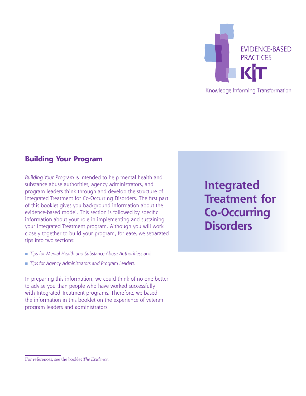

### **Building Your Program**

*Building Your Program* is intended to help mental health and substance abuse authorities, agency administrators, and program leaders think through and develop the structure of Integrated Treatment for Co-Occurring Disorders. The first part of this booklet gives you background information about the evidence-based model. This section is followed by specific information about your role in implementing and sustaining your Integrated Treatment program. Although you will work closely together to build your program, for ease, we separated tips into two sections:

- n *Tips for Mental Health and Substance Abuse Authorities*; and
- *Tips for Agency Administrators and Program Leaders.*

In preparing this information, we could think of no one better to advise you than people who have worked successfully with Integrated Treatment programs. Therefore, we based the information in this booklet on the experience of veteran program leaders and administrators.

**Integrated Treatment for Co-Occurring Disorders**

#### For references, see the booklet *The Evidence.*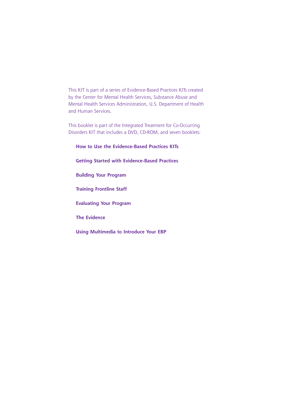This KIT is part of a series of Evidence-Based Practices KITs created by the Center for Mental Health Services, Substance Abuse and Mental Health Services Administration, U.S. Department of Health and Human Services.

This booklet is part of the Integrated Treatment for Co-Occurring Disorders KIT that includes a DVD, CD-ROM, and seven booklets:

**How to Use the Evidence-Based Practices KITs Getting Started with Evidence-Based Practices Building Your Program Training Frontline Staff Evaluating Your Program The Evidence Using Multimedia to Introduce Your EBP**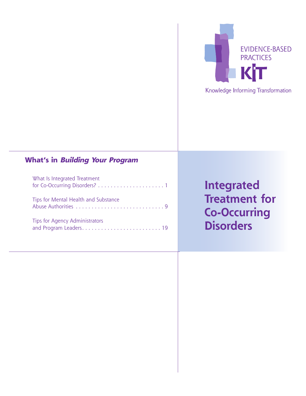

## **What's in Building Your Program**

| What Is Integrated Treatment          |
|---------------------------------------|
| Tips for Mental Health and Substance  |
| <b>Tips for Agency Administrators</b> |

## **Integrated Treatment for Co-Occurring Disorders**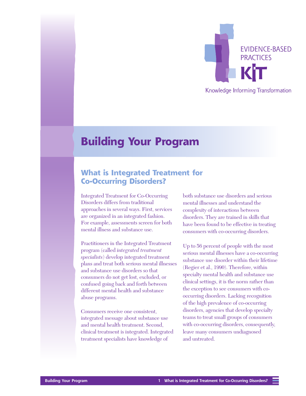

## <span id="page-8-0"></span>**Building Your Program**

### **What is Integrated Treatment for Co-Occurring Disorders?**

Integrated Treatment for Co-Occurring Disorders differs from traditional approaches in several ways. First, services are organized in an integrated fashion. For example, assessments screen for both mental illness and substance use.

Practitioners in the Integrated Treatment program (called *integrated treatment specialists*) develop integrated treatment plans and treat both serious mental illnesses and substance use disorders so that consumers do not get lost, excluded, or confused going back and forth between different mental health and substance abuse programs.

Consumers receive one consistent, integrated message about substance use and mental health treatment. Second, clinical treatment is integrated. Integrated treatment specialists have knowledge of

both substance use disorders and serious mental illnesses and understand the complexity of interactions between disorders. They are trained in skills that have been found to be effective in treating consumers with co-occurring disorders.

Up to 56 percent of people with the most serious mental illnesses have a co-occurring substance use disorder within their lifetime (Regier et al., 1990). Therefore, within specialty mental health and substance use clinical settings, it is the norm rather than the exception to see consumers with cooccurring disorders. Lacking recognition of the high prevalence of co-occurring disorders, agencies that develop specialty teams to treat small groups of consumers with co-occurring disorders, consequently, leave many consumers undiagnosed and untreated.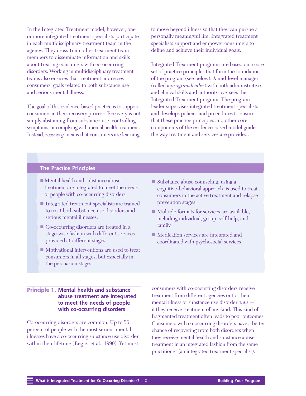In the Integrated Treatment model, however, one or more integrated treatment specialists participate in each multidisciplinary treatment team in the agency. They cross-train other treatment team members to disseminate information and skills about treating consumers with co-occurring disorders. Working in multidisciplinary treatment teams also ensures that treatment addresses consumers' goals related to both substance use and serious mental illness.

The goal of this evidence-based practice is to support consumers in their recovery process. Recovery is not simply abstaining from substance use, controlling symptoms, or complying with mental health treatment. Instead, *recovery* means that consumers are learning

to move beyond illness so that they can pursue a personally meaningful life. Integrated treatment specialists support and empower consumers to define and achieve their individual goals.

Integrated Treatment programs are based on a core set of practice principles that form the foundation of the program (see below). A mid-level manager (called a *program leader*) with both administrative and clinical skills and authority oversees the Integrated Treatment program. The program leader supervises integrated treatment specialists and develops policies and procedures to ensure that these practice principles and other core components of the evidence-based model guide the way treatment and services are provided.

#### **The Practice Principles**

- $\blacksquare$  Mental health and substance abuse treatment are integrated to meet the needs of people with co-occurring disorders.
- Integrated treatment specialists are trained to treat both substance use disorders and serious mental illnesses.
- Co-occurring disorders are treated in a stage-wise fashion with different services provided at different stages.
- $\blacksquare$  Motivational interventions are used to treat consumers in all stages, but especially in the persuasion stage.
- Substance abuse counseling, using a cognitive-behavioral approach, is used to treat consumers in the active treatment and relapse prevention stages.
- $\blacksquare$  Multiple formats for services are available, including individual, group, self-help, and family.
- Medication services are integrated and coordinated with psychosocial services.

#### **Principle 1. Mental health and substance abuse treatment are integrated to meet the needs of people with co-occurring disorders**

Co-occurring disorders are common. Up to 56 percent of people with the most serious mental illnesses have a co-occurring substance use disorder within their lifetime (Regier et al., 1990). Yet most

consumers with co-occurring disorders receive treatment from different agencies or for their mental illness or substance use disorder *only* if they receive treatment of any kind. This kind of fragmented treatment often leads to poor outcomes. Consumers with co-occurring disorders have a better chance of recovering from both disorders when they receive mental health and substance abuse treatment in an integrated fashion from the same practitioner (an integrated treatment specialist).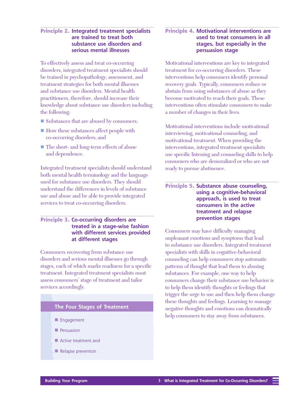#### **Principle 2. Integrated treatment specialists are trained to treat both substance use disorders and serious mental illnesses**

To effectively assess and treat co-occurring disorders, integrated treatment specialists should be trained in psychopathology, assessment, and treatment strategies for both mental illnesses and substance use disorders. Mental health practitioners, therefore, should increase their knowledge about substance use disorders including the following:

- Substances that are abused by consumers;
- How these substances affect people with co-occurring disorders; and
- The short- and long-term effects of abuse and dependence.

Integrated treatment specialists should understand both mental health terminology and the language used for substance use disorders. They should understand the differences in levels of substance use and abuse and be able to provide integrated services to treat co-occurring disorders.

#### **Principle 3. Co-occurring disorders are treated in a stage-wise fashion with different services provided at different stages**

Consumers recovering from substance use disorders and serious mental illnesses go through stages, each of which marks readiness for a specific treatment. Integrated treatment specialists must assess consumers' stage of treatment and tailor services accordingly.

#### **The Four Stages of Treatment**

- **n** Engagement
- $\blacksquare$  Persuasion
- $\blacksquare$  Active treatment and
- Relapse prevention

#### **Principle 4. Motivational interventions are used to treat consumers in all stages, but especially in the persuasion stage**

Motivational interventions are key to integrated treatment for co-occurring disorders. These interventions help consumers identify personal recovery goals. Typically, consumers reduce or abstain from using substances of abuse as they become motivated to reach their goals. These interventions often stimulate consumers to make a number of changes in their lives.

Motivational interventions include motivational interviewing, motivational counseling, and motivational treatment. When providing the interventions, integrated treatment specialists use specific listening and counseling skills to help consumers who are demoralized or who are not ready to pursue abstinence.

#### **Principle 5. Substance abuse counseling, using a cognitive-behavioral approach, is used to treat consumers in the active treatment and relapse prevention stages**

Consumers may have difficulty managing unpleasant emotions and symptoms that lead to substance use disorders. Integrated treatment specialists with skills in cognitive-behavioral counseling can help consumers stop automatic patterns of thought that lead them to abusing substances. For example, one way to help consumers change their substance use behavior is to help them identify thoughts or feelings that trigger the urge to use and then help them change these thoughts and feelings. Learning to manage negative thoughts and emotions can dramatically help consumers to stay away from substances.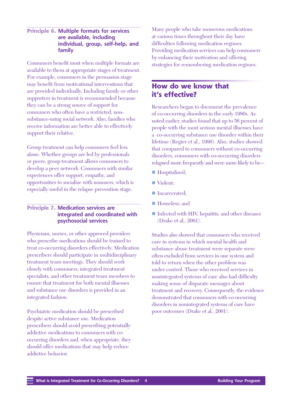#### **Principle 6. Multiple formats for services are available, including individual, group, self-help, and family**

Consumers benefit most when multiple formats are available to them at appropriate stages of treatment. For example, consumers in the persuasion stage may benefit from motivational interventions that are provided individually. Including family or other supporters in treatment is recommended because they can be a strong source of support for consumers who often have a restricted, nonsubstance-using social network. Also, families who receive information are better able to effectively support their relative.

Group treatment can help consumers feel less alone. Whether groups are led by professionals or peers, group treatment allows consumers to develop a peer network. Consumers with similar experiences offer support, empathy, and opportunities to socialize with nonusers, which is especially useful in the relapse prevention stage.

#### **Principle 7. Medication services are integrated and coordinated with psychosocial services**

Physicians, nurses, or other approved providers who prescribe medications should be trained to treat co-occurring disorders effectively. Medication prescribers should participate in multidisciplinary treatment team meetings. They should work closely with consumers, integrated treatment specialists, and other treatment team members to ensure that treatment for both mental illnesses and substance use disorders is provided in an integrated fashion.

Psychiatric medication should be prescribed despite active substance use. Medication prescribers should avoid prescribing potentially addictive medications to consumers with cooccurring disorders and, when appropriate, they should offer medications that may help reduce addictive behavior.

Many people who take numerous medications at various times throughout their day have difficulties following medication regimes. Providing medication services can help consumers by enhancing their motivation and offering strategies for remembering medication regimes.

## **How do we know that it's effective?**

Researchers began to document the prevalence of co-occurring disorders in the early 1980s. As noted earlier, studies found that up to 56 percent of people with the most serious mental illnesses have a co-occurring substance use disorder within their lifetime (Regier et al., 1990). Also, studies showed that compared to consumers without co-occurring disorders, consumers with co-occurring disorders relapsed more frequently and were more likely to be—

- Hospitalized;
- $\blacksquare$  Violent:
- Incarcerated:
- Homeless: and
- n Infected with HIV, hepatitis, and other diseases (Drake et al., 2001).

Studies also showed that consumers who received care in systems in which mental health and substance abuse treatment were separate were often excluded from services in one system and told to return when the other problem was under control. Those who received services in nonintegrated systems of care also had difficulty making sense of disparate messages about treatment and recovery. Consequently, the evidence demonstrated that consumers with co-occurring disorders in nonintegrated systems of care have poor outcomes (Drake et al., 2001).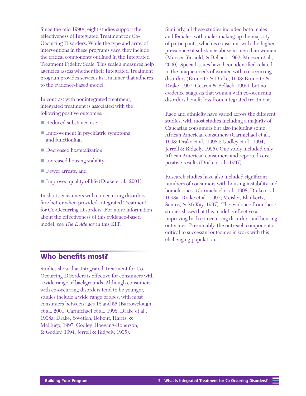Since the mid 1990s, eight studies support the effectiveness of Integrated Treatment for Co-Occurring Disorders. While the type and array of interventions in these programs vary, they include the critical components outlined in the Integrated Treatment Fidelity Scale. This scale's measures help agencies assess whether their Integrated Treatment program provides services in a manner that adheres to the evidence-based model.

In contrast with nonintegrated treatment, integrated treatment is associated with the following positive outcomes:

- Reduced substance use;
- Improvement in psychiatric symptoms and functioning;
- Decreased hospitalization;
- Increased housing stability;
- **F** Fewer arrests; and
- Improved quality of life (Drake et al., 2001).

In short, consumers with co-occurring disorders fare better when provided Integrated Treatment for Co-Occurring Disorders. For more information about the effectiveness of this evidence-based model, see *The Evidence* in this KIT.

Similarly, all these studies included both males and females, with males making up the majority of participants, which is consistent with the higher prevalence of substance abuse in men than women (Mueser, Yarnold, & Bellack, 1992; Mueser et al., 2000). Special issues have been identified related to the unique needs of women with co-occurring disorders (Brunette & Drake, 1998; Brunette & Drake, 1997; Gearon & Bellack, 1999), but no evidence suggests that women with co-occurring disorders benefit less from integrated treatment.

Race and ethnicity have varied across the different studies, with most studies including a majority of Caucasian consumers but also including some African American consumers (Carmichael et al., 1998; Drake et al., 1998a; Godley et al., 1994; Jerrell & Ridgely, 1995). One study included only African American consumers and reported very positive results (Drake et al., 1997).

Research studies have also included significant numbers of consumers with housing instability and homelessness (Carmichael et al., 1998; Drake et al., 1998a; Drake et al., 1997; Meisler, Blankertz, Santos, & McKay, 1997). The evidence from these studies shows that this model is effective at improving both co-occurring disorders and housing outcomes. Presumably, the outreach component is critical to successful outcomes in work with this challenging population.

## **Who benefits most?**

Studies show that Integrated Treatment for Co-Occurring Disorders is effective for consumers with a wide range of backgrounds. Although consumers with co-occurring disorders tend to be younger, studies include a wide range of ages, with most consumers between ages 18 and 55 (Barrowclough et al., 2001; Carmichael et al., 1998; Drake et al., 1998a; Drake, Yovetich, Bebout, Harris, & McHugo, 1997; Godley, Hoewing-Roberson, & Godley, 1994; Jerrell & Ridgely, 1995).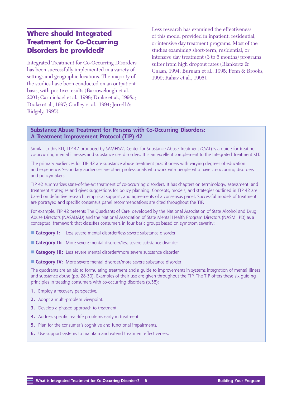## **Where should Integrated Treatment for Co-Occurring Disorders be provided?**

Integrated Treatment for Co-Occurring Disorders has been successfully implemented in a variety of settings and geographic locations. The majority of the studies have been conducted on an outpatient basis, with positive results (Barrowclough et al., 2001; Carmichael et al., 1998; Drake et al., 1998a; Drake et al., 1997; Godley et al., 1994; Jerrell & Ridgely, 1995).

Less research has examined the effectiveness of this model provided in inpatient, residential, or intensive day treatment programs. Most of the studies examining short-term, residential, or intensive day treatment (3 to 6 months) programs suffer from high dropout rates (Blankertz & Cnaan, 1994; Burnam et al., 1995; Penn & Brooks, 1999; Rahav et al., 1995).

#### **Substance Abuse Treatment for Persons with Co-Occurring Disorders: A Treatment Improvement Protocol (TIP) 42**

Similar to this KIT, TIP 42 produced by SAMHSA's Center for Substance Abuse Treatment (CSAT) is a guide for treating co-occurring mental illnesses and substance use disorders. It is an excellent complement to the Integrated Treatment KIT.

The primary audiences for TIP 42 are substance abuse treatment practitioners with varying degrees of education and experience. Secondary audiences are other professionals who work with people who have co-occurring disorders and policymakers.

TIP 42 summarizes state-of-the-art treatment of co-occurring disorders. It has chapters on terminology, assessment, and treatment strategies and gives suggestions for policy planning. Concepts, models, and strategies outlined in TIP 42 are based on definitive research, empirical support, and agreements of a consensus panel. Successful models of treatment are portrayed and specific consensus panel recommendations are cited throughout the TIP.

For example, TIP 42 presents The Quadrants of Care, developed by the National Association of State Alcohol and Drug Abuse Directors (NASADAD) and the National Association of State Mental Health Program Directors (NASMHPD) as a conceptual framework that classifies consumers in four basic groups based on symptom severity:

- **Category I:** Less severe mental disorder/less severe substance disorder
- **Category II:** More severe mental disorder/less severe substance disorder
- **Category III:** Less severe mental disorder/more severe substance disorder
- **Example 3 Category IV:** More severe mental disorder/more severe substance disorder

The quadrants are an aid to formulating treatment and a guide to improvements in systems integration of mental illness and substance abuse (pp. 28-30). Examples of their use are given throughout the TIP. The TIP offers these six guiding principles in treating consumers with co-occurring disorders (p.38):

- 1. Employ a recovery perspective.
- **2.** Adopt a multi-problem viewpoint.
- **3.** Develop a phased approach to treatment.
- **4.** Address specific real-life problems early in treatment.
- **5.** Plan for the consumer's cognitive and functional impairments.
- **6.** Use support systems to maintain and extend treatment effectiveness.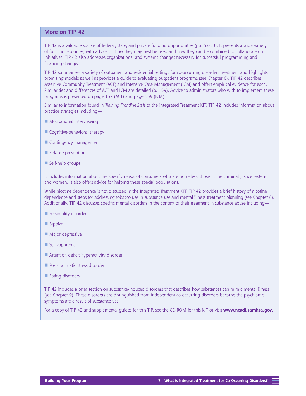#### **More on TIP 42**

TIP 42 is a valuable source of federal, state, and private funding opportunities (pp. 52-53). It presents a wide variety of funding resources, with advice on how they may best be used and how they can be combined to collaborate on initiatives. TIP 42 also addresses organizational and systems changes necessary for successful programming and financing change.

TIP 42 summarizes a variety of outpatient and residential settings for co-occurring disorders treatment and highlights promising models as well as provides a guide to evaluating outpatient programs (see Chapter 6). TIP 42 describes Assertive Community Treatment (ACT) and Intensive Case Management (ICM) and offers empirical evidence for each. Similarities and differences of ACT and ICM are detailed (p. 159). Advice to administrators who wish to implement these programs is presented on page 157 (ACT) and page 159 (ICM).

Similar to information found in *Training Frontline Staff* of the Integrated Treatment KIT, TIP 42 includes information about practice strategies including—

- $\blacksquare$  Motivational interviewing
- $\blacksquare$  Cognitive-behavioral therapy
- $\blacksquare$  Contingency management
- Relapse prevention
- $\blacksquare$  Self-help groups

It includes information about the specific needs of consumers who are homeless, those in the criminal justice system, and women. It also offers advice for helping these special populations.

While nicotine dependence is not discussed in the Integrated Treatment KIT, TIP 42 provides a brief history of nicotine dependence and steps for addressing tobacco use in substance use and mental illness treatment planning (see Chapter 8). Additionally, TIP 42 discusses specific mental disorders in the context of their treatment in substance abuse including—

- $\blacksquare$  Personality disorders
- $\blacksquare$  Bipolar
- $\blacksquare$  Major depressive
- $\blacksquare$  Schizophrenia
- $\blacksquare$  Attention deficit hyperactivity disorder
- $\blacksquare$  Post-traumatic stress disorder
- $\blacksquare$  Eating disorders

TIP 42 includes a brief section on substance-induced disorders that describes how substances can mimic mental illness (see Chapter 9). These disorders are distinguished from independent co-occurring disorders because the psychiatric symptoms are a result of substance use.

For a copy of TIP 42 and supplemental guides for this TIP, see the CD-ROM for this KIT or visit **[www.ncadi.samhsa.gov](http://www.ncadi.samhsa.gov)**.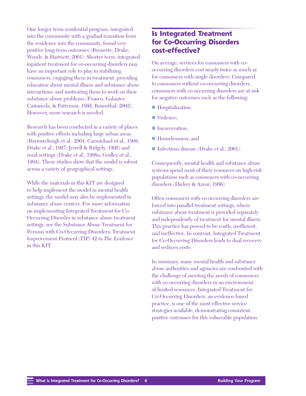One longer term residential program, integrated into the community with a gradual transition from the residence into the community, found very positive long-term outcomes (Brunette, Drake, Woods, & Hartnett, 2001). Shorter term, integrated inpatient treatment for co-occurring disorders may have an important role to play in stabilizing consumers, engaging them in treatment, providing education about mental illness and substance abuse interactions, and motivating them to work on their substance abuse problems (Franco, Galanter, Castaneda, & Patterson, 1995; Rosenthal, 2002). However, more research is needed.

Research has been conducted in a variety of places with positive effects including large urban areas (Barrowclough et al., 2001, Carmichael et al., 1998; Drake et al., 1997; Jerrell & Ridgely, 1995) and rural settings (Drake et al., 1998a; Godley et al., 1994). These studies show that the model is robust across a variety of geographical settings.

While the materials in this KIT are designed to help implement the model in mental health settings, the model may also be implemented in substance abuse centers. For more information on implementing Integrated Treatment for Co-Occurring Disorder in substance abuse treatment settings, see the Substance Abuse Treatment for Persons with Co-Occurring Disorders: Treatment Improvement Protocol (TIP) 42 in *The Evidence* in this KIT.

## **Is Integrated Treatment for Co-Occurring Disorders cost-effective?**

On average, services for consumers with cooccurring disorders cost nearly twice as much as for consumers with single disorders. Compared to consumers without co-occurring disorders, consumers with co-occurring disorders are at risk for negative outcomes such as the following:

- Hospitalization;
- Violence;
- **n** Incarceration;
- Homelessness: and
- Infectious disease (Drake et al., 2001).

Consequently, mental health and substance abuse systems spend most of their resources on high-risk populations such as consumers with co-occurring disorders (Dickey & Azeni, 1996).

Often consumers with co-occurring disorders are forced into parallel treatment settings, where substance abuse treatment is provided separately and independently of treatment for mental illness. This practice has proved to be costly, inefficient, and ineffective. In contrast, Integrated Treatment for Co-Occurring Disorders leads to dual recovery and reduces costs.

In summary, many mental health and substance abuse authorities and agencies are confronted with the challenge of meeting the needs of consumers with co-occurring disorders in an environment of limited resources. Integrated Treatment for Co-Occurring Disorders, an evidence-based practice, is one of the most effective service strategies available, demonstrating consistent, positive outcomes for this vulnerable population.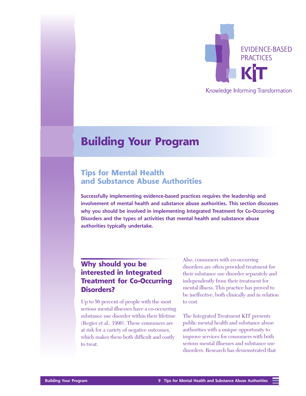

### Knowledge Informing Transformation

## <span id="page-16-0"></span>**Building Your Program**

## **Tips for Mental Health and Substance Abuse Authorities**

**Successfully implementing evidence-based practices requires the leadership and involvement of mental health and substance abuse authorities. This section discusses why you should be involved in implementing Integrated Treatment for Co-Occurring Disorders and the types of activities that mental health and substance abuse authorities typically undertake.**

## **Why should you be interested in Integrated Treatment for Co-Occurring Disorders?**

Up to 56 percent of people with the most serious mental illnesses have a co-occurring substance use disorder within their lifetime (Regier et al., 1990). These consumers are at risk for a variety of negative outcomes, which makes them both difficult and costly to treat.

Also, consumers with co-occurring disorders are often provided treatment for their substance use disorder separately and independently from their treatment for mental illness. This practice has proved to be ineffective, both clinically and in relation to cost.

The Integrated Treatment KIT presents public mental health and substance abuse authorities with a unique opportunity to improve services for consumers with both serious mental illnesses and substance use disorders. Research has demonstrated that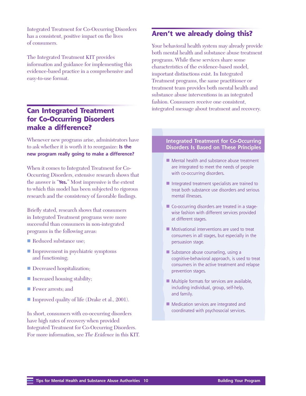Integrated Treatment for Co-Occurring Disorders has a consistent, positive impact on the lives of consumers.

The Integrated Treatment KIT provides information and guidance for implementing this evidence-based practice in a comprehensive and easy-to-use format.

## **Can Integrated Treatment for Co-Occurring Disorders make a difference?**

Whenever new programs arise, administrators have to ask whether it is worth it to reorganize: **Is the new program really going to make a difference?**

When it comes to Integrated Treatment for Co-Occurring Disorders, extensive research shows that the answer is "**Yes.**" Most impressive is the extent to which this model has been subjected to rigorous research and the consistency of favorable findings.

Briefly stated, research shows that consumers in Integrated Treatment programs were more successful than consumers in non-integrated programs in the following areas:

- Reduced substance use:
- Improvement in psychiatric symptoms and functioning;
- Decreased hospitalization;
- Increased housing stability;
- **Fewer arrests; and**
- Improved quality of life (Drake et al., 2001).

In short, consumers with co-occurring disorders have high rates of recovery when provided Integrated Treatment for Co-Occurring Disorders. For more information, see *The Evidence* in this KIT.

## **Aren't we already doing this?**

Your behavioral health system may already provide both mental health and substance abuse treatment programs. While these services share some characteristics of the evidence-based model, important distinctions exist. In Integrated Treatment programs, the same practitioner or treatment team provides both mental health and substance abuse interventions in an integrated fashion. Consumers receive one consistent, integrated message about treatment and recovery.

#### **Integrated Treatment for Co-Occurring Disorders Is Based on These Principles**

- $\blacksquare$  Mental health and substance abuse treatment are integrated to meet the needs of people with co-occurring disorders.
- $\blacksquare$  Integrated treatment specialists are trained to treat both substance use disorders and serious mental illnesses.
- $\blacksquare$  Co-occurring disorders are treated in a stagewise fashion with different services provided at different stages.
- $\blacksquare$  Motivational interventions are used to treat consumers in all stages, but especially in the persuasion stage.
- $\blacksquare$  Substance abuse counseling, using a cognitive-behavioral approach, is used to treat consumers in the active treatment and relapse prevention stages.
- $\blacksquare$  Multiple formats for services are available, including individual, group, self-help, and family.
- $\blacksquare$  Medication services are integrated and coordinated with psychosocial services.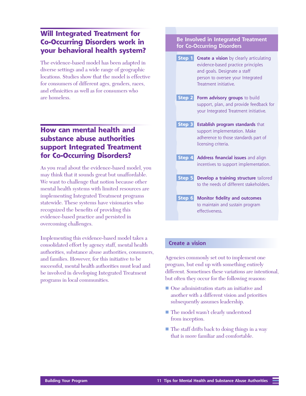## **Will Integrated Treatment for Co-Occurring Disorders work in your behavioral health system?**

The evidence-based model has been adapted in diverse settings and a wide range of geographic locations. Studies show that the model is effective for consumers of different ages, genders, races, and ethnicities as well as for consumers who are homeless.

## **How can mental health and substance abuse authorities support Integrated Treatment for Co-Occurring Disorders?**

As you read about the evidence-based model, you may think that it sounds great but unaffordable. We want to challenge that notion because other mental health systems with limited resources are implementing Integrated Treatment programs statewide. These systems have visionaries who recognized the benefits of providing this evidence-based practice and persisted in overcoming challenges.

Implementing this evidence-based model takes a consolidated effort by agency staff, mental health authorities, substance abuse authorities, consumers, and families. However, for this initiative to be successful, mental health authorities must lead and be involved in developing Integrated Treatment programs in local communities.

#### **Be Involved in Integrated Treatment for Co-Occurring Disorders**

| <b>Step 1</b> Create a vision by clearly articulating<br>evidence-based practice principles<br>and goals. Designate a staff<br>person to oversee your Integrated<br>Treatment initiative. |
|-------------------------------------------------------------------------------------------------------------------------------------------------------------------------------------------|
| Step 2 Form advisory groups to build<br>support, plan, and provide feedback for<br>your Integrated Treatment initiative.                                                                  |
| Step 3 Establish program standards that<br>support implementation. Make<br>adherence to those standards part of<br>licensing criteria.                                                    |
| Step 4 Address financial issues and align<br>incentives to support implementation.                                                                                                        |
| Step 5 Develop a training structure tailored<br>to the needs of different stakeholders.                                                                                                   |
| <b>Step 6</b> Monitor fidelity and outcomes<br>to maintain and sustain program<br>effectiveness.                                                                                          |

#### **Create a vision**

Agencies commonly set out to implement one program, but end up with something entirely different. Sometimes these variations are intentional, but often they occur for the following reasons:

- One administration starts an initiative and another with a different vision and priorities subsequently assumes leadership.
- The model wasn't clearly understood from inception.
- $\blacksquare$  The staff drifts back to doing things in a way that is more familiar and comfortable.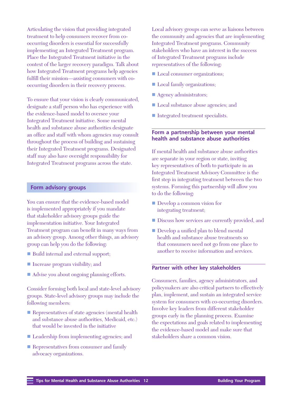Articulating the vision that providing integrated treatment to help consumers recover from cooccurring disorders is essential for successfully implementing an Integrated Treatment program. Place the Integrated Treatment initiative in the context of the larger recovery paradigm. Talk about how Integrated Treatment programs help agencies fulfill their mission—assisting consumers with cooccurring disorders in their recovery process.

To ensure that your vision is clearly communicated, designate a staff person who has experience with the evidence-based model to oversee your Integrated Treatment initiative. Some mental health and substance abuse authorities designate an office and staff with whom agencies may consult throughout the process of building and sustaining their Integrated Treatment programs. Designated staff may also have oversight responsibility for Integrated Treatment programs across the state.

#### **Form advisory groups**

You can ensure that the evidence-based model is implemented appropriately if you mandate that stakeholder advisory groups guide the implementation initiative. Your Integrated Treatment program can benefit in many ways from an advisory group. Among other things, an advisory group can help you do the following:

- Build internal and external support;
- Increase program visibility; and
- Advise you about ongoing planning efforts.

Consider forming both local and state-level advisory groups. State-level advisory groups may include the following members:

- **n** Representatives of state agencies (mental health and substance abuse authorities, Medicaid, etc.) that would be invested in the initiative
- Leadership from implementing agencies; and
- **n** Representatives from consumer and family advocacy organizations.

Local advisory groups can serve as liaisons between the community and agencies that are implementing Integrated Treatment programs. Community stakeholders who have an interest in the success of Integrated Treatment programs include representatives of the following:

- Local consumer organizations;
- Local family organizations;
- Agency administrators;
- Local substance abuse agencies; and
- Integrated treatment specialists.

#### **Form a partnership between your mental health and substance abuse authorities**

If mental health and substance abuse authorities are separate in your region or state, inviting key representatives of both to participate in an Integrated Treatment Advisory Committee is the first step in integrating treatment between the two systems. Forming this partnership will allow you to do the following:

- **n** Develop a common vision for integrating treatment;
- Discuss how services are currently provided, and
- **n** Develop a unified plan to blend mental health and substance abuse treatments so that consumers need not go from one place to another to receive information and services.

#### **Partner with other key stakeholders**

Consumers, families, agency administrators, and policymakers are also critical partners to effectively plan, implement, and sustain an integrated service system for consumers with co-occurring disorders. Involve key leaders from different stakeholder groups early in the planning process. Examine the expectations and goals related to implementing the evidence-based model and make sure that stakeholders share a common vision.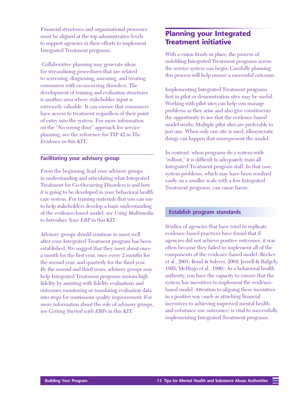Financial structures and organizational processes must be aligned at the top administrative levels to support agencies in their efforts to implement Integrated Treatment programs.

 Collaborative planning may generate ideas for streamlining procedures that are related to screening, diagnosing, assessing, and treating consumers with co-occurring disorders. The development of training and evaluation structures is another area where stakeholder input is extremely valuable. It can ensure that consumers have access to treatment regardless of their point of entry into the system. For more information on the "No wrong door" approach for service planning, see the reference for TIP 42 in *The Evidence* in this KIT.

#### **Facilitating your advisory group**

From the beginning, lead your advisory groups in understanding and articulating what Integrated Treatment for Co-Occurring Disorders is and how it is going to be developed in your behavioral health care system. For training materials that you can use to help stakeholders develop a basic understanding of the evidence-based model, see *Using Multimedia to Introduce Your EBP* in this KIT.

Advisory groups should continue to meet well after your Integrated Treatment program has been established. We suggest that they meet about once a month for the first year, once every 2 months for the second year, and quarterly for the third year. By the second and third years, advisory groups may help Integrated Treatment programs sustain high fidelity by assisting with fidelity evaluations and outcomes monitoring or translating evaluation data into steps for continuous quality improvement. For more information about the role of advisory groups, see *Getting Started with EBPs* in this KIT.

## **Planning your Integrated Treatment initiative**

With a vision firmly in place, the process of unfolding Integrated Treatment programs across the service system can begin. Carefully planning this process will help ensure a successful outcome.

Implementing Integrated Treatment programs first in pilot or demonstration sites may be useful. Working with pilot sites can help you manage problems as they arise and also give constituents the opportunity to see that the evidence-based model works. Multiple pilot sites are preferable to just one. When only one site is used, idiosyncratic things can happen that misrepresent the model.

In contrast, when programs do a system-wide "rollout," it is difficult to adequately train all Integrated Treatment program staff. In that case, system problems, which may have been resolved easily on a smaller scale with a few Integrated Treatment programs, can cause havoc.

#### **Establish program standards**

Studies of agencies that have tried to replicate evidence-based practices have found that if agencies did not achieve positive outcomes, it was often because they failed to implement all of the components of the evidence-based model (Becker et al., 2001; Bond & Salyers, 2004; Jerrell & Ridgely, 1995; McHugo et al., 1996). As a behavioral health authority, you have the capacity to ensure that the system has incentives to implement the evidencebased model. Attention to aligning these incentives in a positive way (such as attaching financial incentives to achieving improved mental health and substance use outcomes) is vital to successfully implementing Integrated Treatment programs.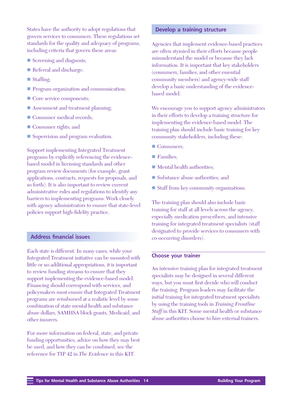States have the authority to adopt regulations that govern services to consumers. These regulations set standards for the quality and adequacy of programs, including criteria that govern these areas:

- **n** Screening and diagnosis;
- **n** Referral and discharge;
- $\blacksquare$  Staffing;
- **n** Program organization and communication;
- Core service components;
- $\blacksquare$  Assessment and treatment planning;
- **n** Consumer medical records;
- **n** Consumer rights; and
- Supervision and program evaluation.

Support implementing Integrated Treatment programs by explicitly referencing the evidencebased model in licensing standards and other program review documents (for example, grant applications, contracts, requests for proposals, and so forth). It is also important to review current administrative rules and regulations to identify any barriers to implementing programs. Work closely with agency administrators to ensure that state-level policies support high-fidelity practice.

#### **Address financial issues**

Each state is different. In many cases, while your Integrated Treatment initiative can be mounted with little or no additional appropriations, it is important to review funding streams to ensure that they support implementing the evidence-based model. Financing should correspond with services, and policymakers must ensure that Integrated Treatment programs are reimbursed at a realistic level by some combination of state mental health and substance abuse dollars, SAMHSA block grants, Medicaid, and other insurers.

For more information on federal, state, and private funding opportunities, advice on how they may best be used, and how they can be combined, see the reference for TIP 42 in *The Evidence* in this KIT.

#### **Develop a training structure**

Agencies that implement evidence-based practices are often stymied in their efforts because people misunderstand the model or because they lack information. It is important that key stakeholders (consumers, families, and other essential community members) and agency-wide staff develop a basic understanding of the evidencebased model.

We encourage you to support agency administrators in their efforts to develop a training structure for implementing the evidence-based model. The training plan should include basic training for key community stakeholders, including these:

- Consumers;
- Families;
- $\blacksquare$  Mental health authorities;
- Substance abuse authorities; and
- Staff from key community organizations.

The training plan should also include basic training for staff at all levels across the agency, especially medication prescribers, and intensive training for integrated treatment specialists (staff designated to provide services to consumers with co-occurring disorders).

#### **Choose your trainer**

An intensive training plan for integrated treatment specialists may be designed in several different ways, but you must first decide who will conduct the training. Program leaders may facilitate the initial training for integrated treatment specialists by using the training tools in *Training Frontline Staff* in this KIT. Some mental health or substance abuse authorities choose to hire external trainers.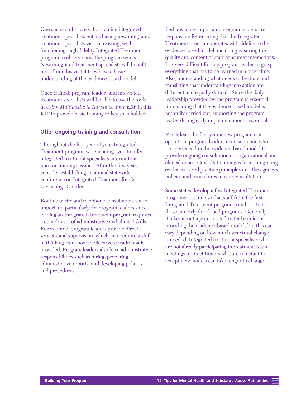One successful strategy for training integrated treatment specialists entails having new integrated treatment specialists visit an existing, wellfunctioning, high-fidelity Integrated Treatment program to observe how the program works. New integrated treatment specialists will benefit most from this visit if they have a basic understanding of the evidence-based model.

Once trained, program leaders and integrated treatment specialists will be able to use the tools in *Using Multimedia to Introduce Your EBP* in this KIT to provide basic training to key stakeholders.

#### **Offer ongoing training and consultation**

Throughout the first year of your Integrated Treatment program, we encourage you to offer integrated treatment specialists intermittent booster training sessions. After the first year, consider establishing an annual statewide conference on Integrated Treatment for Co-Occurring Disorders.

Routine onsite and telephone consultation is also important, particularly for program leaders since leading an Integrated Treatment program requires a complex set of administrative and clinical skills. For example, program leaders provide direct services and supervision, which may require a shift in thinking from how services were traditionally provided. Program leaders also have administrative responsibilities such as hiring, preparing administrative reports, and developing policies and procedures.

Perhaps more important, program leaders are responsible for ensuring that the Integrated Treatment program operates with fidelity to the evidence-based model, including ensuring the quality and content of staff-consumer interactions. It is very difficult for any program leader to grasp everything that has to be learned in a brief time. Also, understanding what needs to be done and translating that understanding into action are different and equally difficult. Since the daily leadership provided by the program is essential for ensuring that the evidence-based model is faithfully carried out, supporting the program leader during early implementation is essential.

For at least the first year a new program is in operation, program leaders need someone who is experienced in the evidence-based model to provide ongoing consultation on organizational and clinical issues. Consultation ranges from integrating evidence-based practice principles into the agency's policies and procedures to case consultation.

Some states develop a few Integrated Treatment programs at a time so that staff from the first Integrated Treatment programs can help train those in newly developed programs. Generally, it takes about a year for staff to feel confident providing the evidence-based model, but this can vary depending on how much structural change is needed. Integrated treatment specialists who are not already participating in treatment team meetings or practitioners who are reluctant to accept new models can take longer to change.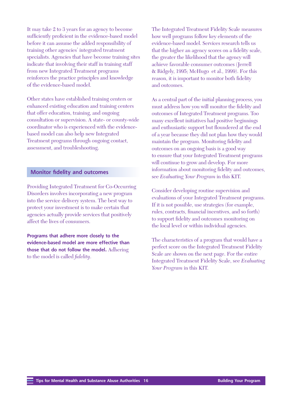It may take 2 to 3 years for an agency to become sufficiently proficient in the evidence-based model before it can assume the added responsibility of training other agencies' integrated treatment specialists. Agencies that have become training sites indicate that involving their staff in training staff from new Integrated Treatment programs reinforces the practice principles and knowledge of the evidence-based model.

Other states have established training centers or enhanced existing education and training centers that offer education, training, and ongoing consultation or supervision. A state- or county-wide coordinator who is experienced with the evidencebased model can also help new Integrated Treatment programs through ongoing contact, assessment, and troubleshooting.

#### **Monitor fidelity and outcomes**

Providing Integrated Treatment for Co-Occurring Disorders involves incorporating a new program into the service delivery system. The best way to protect your investment is to make certain that agencies actually provide services that positively affect the lives of consumers.

**Programs that adhere more closely to the evidence-based model are more effective than those that do not follow the model.** Adhering to the model is called *fidelity*.

The Integrated Treatment Fidelity Scale measures how well programs follow key elements of the evidence-based model. Services research tells us that the higher an agency scores on a fidelity scale, the greater the likelihood that the agency will achieve favorable consumer outcomes (Jerrell & Ridgely, 1995; McHugo et al., 1999). For this reason, it is important to monitor both fidelity and outcomes.

As a central part of the initial planning process, you must address how you will monitor the fidelity and outcomes of Integrated Treatment programs. Too many excellent initiatives had positive beginnings and enthusiastic support but floundered at the end of a year because they did not plan how they would maintain the program. Monitoring fidelity and outcomes on an ongoing basis is a good way to ensure that your Integrated Treatment programs will continue to grow and develop. For more information about monitoring fidelity and outcomes, see *Evaluating Your Program* in this KIT.

Consider developing routine supervision and evaluations of your Integrated Treatment programs. If it is not possible, use strategies (for example, rules, contracts, financial incentives, and so forth) to support fidelity and outcomes monitoring on the local level or within individual agencies.

The characteristics of a program that would have a perfect score on the Integrated Treatment Fidelity Scale are shown on the next page. For the entire Integrated Treatment Fidelity Scale, see *Evaluating Your Program* in this KIT.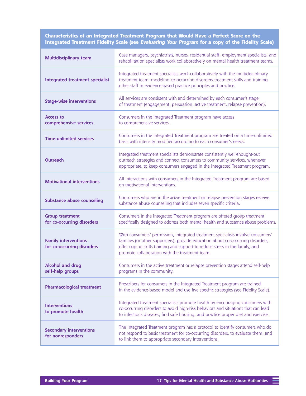**Characteristics of an Integrated Treatment Program that Would Have a Perfect Score on the Integrated Treatment Fidelity Scale (see Evaluating Your Program for a copy of the Fidelity Scale)**

| <b>Multidisciplinary team</b>                             | Case managers, psychiatrists, nurses, residential staff, employment specialists, and<br>rehabilitation specialists work collaboratively on mental health treatment teams.                                                                                                                            |
|-----------------------------------------------------------|------------------------------------------------------------------------------------------------------------------------------------------------------------------------------------------------------------------------------------------------------------------------------------------------------|
| <b>Integrated treatment specialist</b>                    | Integrated treatment specialists work collaboratively with the multidisciplinary<br>treatment team, modeling co-occurring disorders treatment skills and training<br>other staff in evidence-based practice principles and practice.                                                                 |
| <b>Stage-wise interventions</b>                           | All services are consistent with and determined by each consumer's stage<br>of treatment (engagement, persuasion, active treatment, relapse prevention).                                                                                                                                             |
| <b>Access to</b><br>comprehensive services                | Consumers in the Integrated Treatment program have access<br>to comprehensive services.                                                                                                                                                                                                              |
| <b>Time-unlimited services</b>                            | Consumers in the Integrated Treatment program are treated on a time-unlimited<br>basis with intensity modified according to each consumer's needs.                                                                                                                                                   |
| <b>Outreach</b>                                           | Integrated treatment specialists demonstrate consistently well-thought-out<br>outreach strategies and connect consumers to community services, whenever<br>appropriate, to keep consumers engaged in the Integrated Treatment program.                                                               |
| <b>Motivational interventions</b>                         | All interactions with consumers in the Integrated Treatment program are based<br>on motivational interventions.                                                                                                                                                                                      |
| <b>Substance abuse counseling</b>                         | Consumers who are in the active treatment or relapse prevention stages receive<br>substance abuse counseling that includes seven specific criteria.                                                                                                                                                  |
| <b>Group treatment</b><br>for co-occurring disorders      | Consumers in the Integrated Treatment program are offered group treatment<br>specifically designed to address both mental health and substance abuse problems.                                                                                                                                       |
| <b>Family interventions</b><br>for co-occurring disorders | With consumers' permission, integrated treatment specialists involve consumers'<br>families (or other supporters), provide education about co-occurring disorders,<br>offer coping skills training and support to reduce stress in the family, and<br>promote collaboration with the treatment team. |
| <b>Alcohol and drug</b><br>self-help groups               | Consumers in the active treatment or relapse prevention stages attend self-help<br>programs in the community.                                                                                                                                                                                        |
| <b>Pharmacological treatment</b>                          | Prescribers for consumers in the Integrated Treatment program are trained<br>in the evidence-based model and use five specific strategies (see Fidelity Scale).                                                                                                                                      |
| <b>Interventions</b><br>to promote health                 | Integrated treatment specialists promote health by encouraging consumers with<br>co-occurring disorders to avoid high-risk behaviors and situations that can lead<br>to infectious diseases, find safe housing, and practice proper diet and exercise.                                               |
| <b>Secondary interventions</b><br>for nonresponders       | The Integrated Treatment program has a protocol to identify consumers who do<br>not respond to basic treatment for co-occurring disorders, to evaluate them, and<br>to link them to appropriate secondary interventions.                                                                             |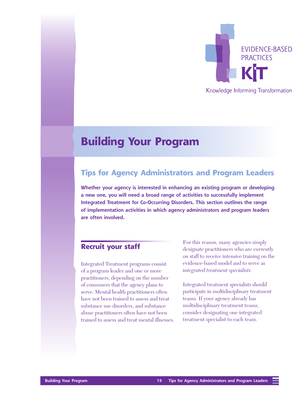

Knowledge Informing Transformation

## <span id="page-26-0"></span>**Building Your Program**

## **Tips for Agency Administrators and Program Leaders**

**Whether your agency is interested in enhancing an existing program or developing a new one, you will need a broad range of activities to successfully implement Integrated Treatment for Co-Occurring Disorders. This section outlines the range of implementation activities in which agency administrators and program leaders are often involved.**

## **Recruit your staff**

Integrated Treatment programs consist of a program leader and one or more practitioners, depending on the number of consumers that the agency plans to serve. Mental health practitioners often have not been trained to assess and treat substance use disorders, and substance abuse practitioners often have not been trained to assess and treat mental illnesses. For this reason, many agencies simply designate practitioners who are currently on staff to receive intensive training on the evidence-based model and to serve as *integrated treatment specialists*.

Integrated treatment specialists should participate in multidisciplinary treatment teams. If your agency already has multidisciplinary treatment teams, consider designating one integrated treatment specialist to each team.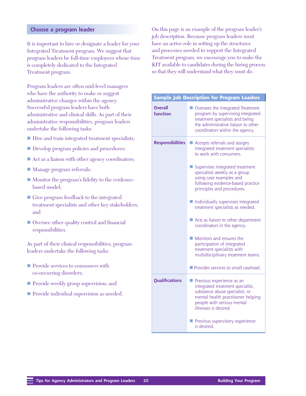#### **Choose a program leader**

It is important to hire or designate a leader for your Integrated Treatment program. We suggest that program leaders be full-time employees whose time is completely dedicated to the Integrated Treatment program.

Program leaders are often mid-level managers who have the authority to make or suggest administrative changes within the agency. Successful program leaders have both administrative and clinical skills. As part of their administrative responsibilities, program leaders undertake the following tasks:

- Hire and train integrated treatment specialists;
- Develop program policies and procedures;
- Act as a liaison with other agency coordinators;
- Manage program referrals;
- Monitor the program's fidelity to the evidencebased model;
- $\blacksquare$  Give program feedback to the integrated treatment specialists and other key stakeholders; and
- Oversee other quality control and financial responsibilities.

As part of their clinical responsibilities, program leaders undertake the following tasks:

- **n** Provide services to consumers with co-occurring disorders;
- **n** Provide weekly group supervision; and
- **n** Provide individual supervision as needed.

On this page is an example of the program leader's job description. Because program leaders must have an active role in setting up the structures and processes needed to support the Integrated Treatment program, we encourage you to make the KIT available to candidates during the hiring process so that they will understand what they must do.

|                            | <b>Sample Job Description for Program Leaders</b>                                                                                                                                            |
|----------------------------|----------------------------------------------------------------------------------------------------------------------------------------------------------------------------------------------|
| <b>Overall</b><br>function | Oversees the Integrated Treatment<br>program by supervising integrated<br>treatment specialists and being<br>the administrative liaison to other<br>coordinators within the agency.          |
| <b>Responsibilities</b>    | Accepts referrals and assigns<br>integrated treatment specialists<br>to work with consumers.                                                                                                 |
|                            | Supervises integrated treatment<br>specialists weekly as a group<br>using case examples and<br>following evidence-based practice<br>principles and procedures.                               |
|                            | Individually supervises integrated<br>treatment specialists as needed.                                                                                                                       |
|                            | Acts as liaison to other department<br>coordinators in the agency.                                                                                                                           |
|                            | Monitors and ensures the<br>participation of integrated<br>treatment specialists with<br>multidisciplinary treatment teams.                                                                  |
|                            | Provides services to small caseload.                                                                                                                                                         |
| <b>Qualifications</b>      | Previous experience as an<br>integrated treatment specialist,<br>substance abuse specialist, or<br>mental health practitioner helping<br>people with serious mental<br>illnesses is desired. |
|                            | Previous supervisory experience<br>is desired.                                                                                                                                               |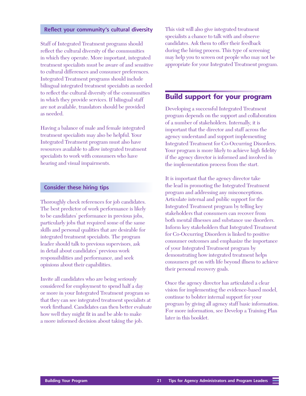#### **Reflect your community's cultural diversity**

Staff of Integrated Treatment programs should reflect the cultural diversity of the communities in which they operate. More important, integrated treatment specialists must be aware of and sensitive to cultural differences and consumer preferences. Integrated Treatment programs should include bilingual integrated treatment specialists as needed to reflect the cultural diversity of the communities in which they provide services. If bilingual staff are not available, translators should be provided as needed.

Having a balance of male and female integrated treatment specialists may also be helpful. Your Integrated Treatment program must also have resources available to allow integrated treatment specialists to work with consumers who have hearing and visual impairments.

#### **Consider these hiring tips**

Thoroughly check references for job candidates. The best predictor of work performance is likely to be candidates' performance in previous jobs, particularly jobs that required some of the same skills and personal qualities that are desirable for integrated treatment specialists. The program leader should talk to previous supervisors, ask in detail about candidates' previous work responsibilities and performance, and seek opinions about their capabilities.

Invite all candidates who are being seriously considered for employment to spend half a day or more in your Integrated Treatment program so that they can see integrated treatment specialists at work firsthand. Candidates can then better evaluate how well they might fit in and be able to make a more informed decision about taking the job.

This visit will also give integrated treatment specialists a chance to talk with and observe candidates. Ask them to offer their feedback during the hiring process. This type of screening may help you to screen out people who may not be appropriate for your Integrated Treatment program.

### **Build support for your program**

Developing a successful Integrated Treatment program depends on the support and collaboration of a number of stakeholders. Internally, it is important that the director and staff across the agency understand and support implementing Integrated Treatment for Co-Occurring Disorders. Your program is more likely to achieve high fidelity if the agency director is informed and involved in the implementation process from the start.

It is important that the agency director take the lead in promoting the Integrated Treatment program and addressing any misconceptions. Articulate internal and public support for the Integrated Treatment program by telling key stakeholders that consumers can recover from both mental illnesses and substance use disorders. Inform key stakeholders that Integrated Treatment for Co-Occurring Disorders is linked to positive consumer outcomes and emphasize the importance of your Integrated Treatment program by demonstrating how integrated treatment helps consumers get on with life beyond illness to achieve their personal recovery goals.

Once the agency director has articulated a clear vision for implementing the evidence-based model, continue to bolster internal support for your program by giving all agency staff basic information. For more information, see Develop a Training Plan later in this booklet.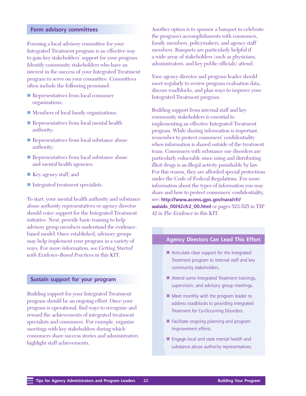#### **Form advisory committees**

Forming a local advisory committee for your Integrated Treatment program is an effective way to gain key stakeholders' support for your program. Identify community stakeholders who have an interest in the success of your Integrated Treatment program to serve on your committee. Committees often include the following personnel:

- Representatives from local consumer organizations;
- Members of local family organizations;
- **n** Representatives from local mental health authority;
- **n** Representatives from local substance abuse authority;
- **n** Representatives from local substance abuse and mental health agencies;
- Key agency staff; and
- Integrated treatment specialists.

To start, your mental health authority and substance abuse authority representatives or agency director should voice support for the Integrated Treatment initiative. Next, provide basic training to help advisory group members understand the evidencebased model. Once established, advisory groups may help implement your program in a variety of ways. For more information, see *Getting Started with Evidence-Based Practices* in this KIT.

#### **Sustain support for your program**

Building support for your Integrated Treatment program should be an ongoing effort. Once your program is operational, find ways to recognize and reward the achievements of integrated treatment specialists and consumers. For example, organize meetings with key stakeholders during which consumers share success stories and administrators highlight staff achievements.

Another option is to sponsor a banquet to celebrate the program's accomplishments with consumers, family members, policymakers, and agency staff members. Banquets are particularly helpful if a wide array of stakeholders (such as physicians, administrators, and key public officials) attend.

Your agency director and program leader should meet regularly to review program evaluation data, discuss roadblocks, and plan ways to improve your Integrated Treatment program.

Building support from internal staff and key community stakeholders is essential to implementing an effective Integrated Treatment program. While sharing information is important, remember to protect consumers' confidentiality when information is shared outside of the treatment team. Consumers with substance use disorders are particularly vulnerable since using and distributing illicit drugs is an illegal activity punishable by law. For this reason, they are afforded special protections under the Code of Federal Regulations. For more information about the types of information you may share and how to protect consumers' confidentiality, see: **[http://www.access.gpo.gov/nara/cfr/](http://www.access.gpo.gov/nara/cfr/waisidx_00/42cfr2_00.html) waisidx\_00/42cfr2\_00.html** or pages 523-525 in TIP 42 in *The Evidence* in this KIT.

#### **Agency Directors Can Lead This Effort**

- $\blacksquare$  Articulate clear support for the Integrated Treatment program to internal staff and key community stakeholders.
- **n** Attend some Integrated Treatment trainings, supervision, and advisory group meetings.
- $\blacksquare$  Meet monthly with the program leader to address roadblocks to providing Integrated Treatment for Co-Occurring Disorders.
- **n** Facilitate ongoing planning and program improvement efforts.
- **n** Engage local and state mental health and substance abuse authority representatives.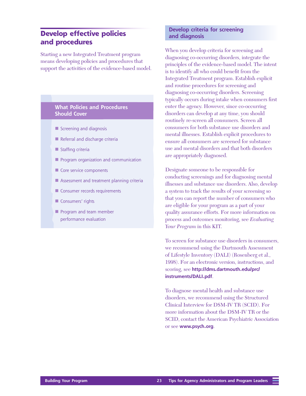## **Develop effective policies and procedures**

Starting a new Integrated Treatment program means developing policies and procedures that support the activities of the evidence-based model.

#### **What Policies and Procedures Should Cover**

- $\blacksquare$  Screening and diagnosis
- $\blacksquare$  Referral and discharge criteria
- $\blacksquare$  Staffing criteria
- $\blacksquare$  Program organization and communication
- $\blacksquare$  Core service components
- $\blacksquare$  Assessment and treatment planning criteria
- **n** Consumer records requirements
- **n** Consumers' rights
- **n** Program and team member performance evaluation

#### **Develop criteria for screening and diagnosis**

When you develop criteria for screening and diagnosing co-occurring disorders, integrate the principles of the evidence-based model. The intent is to identify all who could benefit from the Integrated Treatment program. Establish explicit and routine procedures for screening and diagnosing co-occurring disorders. Screening typically occurs during intake when consumers first enter the agency. However, since co-occurring disorders can develop at any time, you should routinely re-screen all consumers. Screen all consumers for both substance use disorders and mental illnesses. Establish explicit procedures to ensure all consumers are screened for substance use and mental disorders and that both disorders are appropriately diagnosed.

Designate someone to be responsible for conducting screenings and for diagnosing mental illnesses and substance use disorders. Also, develop a system to track the results of your screening so that you can report the number of consumers who are eligible for your program as a part of your quality assurance efforts. For more information on process and outcomes monitoring, see *Evaluating Your Program* in this KIT.

To screen for substance use disorders in consumers, we recommend using the Dartmouth Assessment of Lifestyle Inventory (DALI) (Rosenberg et al., 1998). For an electronic version, instructions, and scoring, see **[http://dms.dartmouth.edu/prc/](http://dms.dartmouth.edu/prc/instruments/DALI.pdf) instruments/DALI.pdf**.

To diagnose mental health and substance use disorders, we recommend using the Structured Clinical Interview for DSM-IV TR (SCID). For more information about the DSM-IV TR or the SCID, contact the American Psychiatric Association or see **[www.psych.org](http://www.psych.org)**.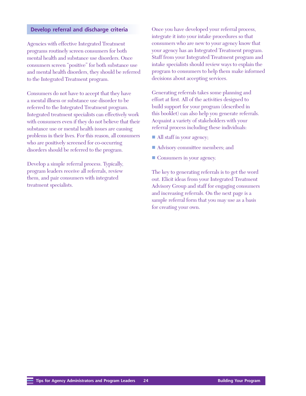#### **Develop referral and discharge criteria**

Agencies with effective Integrated Treatment programs routinely screen consumers for both mental health and substance use disorders. Once consumers screen "positive" for both substance use and mental health disorders, they should be referred to the Integrated Treatment program.

Consumers do not have to accept that they have a mental illness or substance use disorder to be referred to the Integrated Treatment program. Integrated treatment specialists can effectively work with consumers even if they do not believe that their substance use or mental health issues are causing problems in their lives. For this reason, all consumers who are positively screened for co-occurring disorders should be referred to the program.

Develop a simple referral process. Typically, program leaders receive all referrals, review them, and pair consumers with integrated treatment specialists.

Once you have developed your referral process, integrate it into your intake procedures so that consumers who are new to your agency know that your agency has an Integrated Treatment program. Staff from your Integrated Treatment program and intake specialists should review ways to explain the program to consumers to help them make informed decisions about accepting services.

Generating referrals takes some planning and effort at first. All of the activities designed to build support for your program (described in this booklet) can also help you generate referrals. Acquaint a variety of stakeholders with your referral process including these individuals:

- All staff in your agency;
- Advisory committee members; and
- Consumers in your agency.

The key to generating referrals is to get the word out. Elicit ideas from your Integrated Treatment Advisory Group and staff for engaging consumers and increasing referrals. On the next page is a sample referral form that you may use as a basis for creating your own.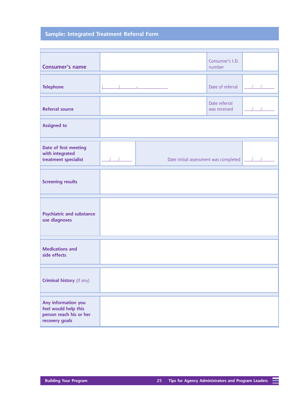## **Sample: Integrated Treatment Referral Form**

|                                                                                          |                                                                                                                                                                                                                                                                                                                                                                                                                                                                                      | Consumer's I.D.                       |  |
|------------------------------------------------------------------------------------------|--------------------------------------------------------------------------------------------------------------------------------------------------------------------------------------------------------------------------------------------------------------------------------------------------------------------------------------------------------------------------------------------------------------------------------------------------------------------------------------|---------------------------------------|--|
| <b>Consumer's name</b>                                                                   |                                                                                                                                                                                                                                                                                                                                                                                                                                                                                      | number                                |  |
| <b>Telephone</b>                                                                         | $\label{eq:2.1} \begin{split} \frac{d}{dt} \left( \frac{d}{dt} \right) \left( \frac{d}{dt} \right) & = \frac{1}{2} \left( \frac{d}{dt} \right) \left( \frac{d}{dt} \right) \left( \frac{d}{dt} \right) \left( \frac{d}{dt} \right) \left( \frac{d}{dt} \right) \left( \frac{d}{dt} \right) \left( \frac{d}{dt} \right) \left( \frac{d}{dt} \right) \left( \frac{d}{dt} \right) \left( \frac{d}{dt} \right) \left( \frac{d}{dt} \right) \left( \frac{d}{dt} \right) \left( \frac{d}{$ | Date of referral                      |  |
| <b>Referral source</b>                                                                   |                                                                                                                                                                                                                                                                                                                                                                                                                                                                                      | Date referral<br>was received         |  |
| <b>Assigned to</b>                                                                       |                                                                                                                                                                                                                                                                                                                                                                                                                                                                                      |                                       |  |
| Date of first meeting<br>with integrated<br>treatment specialist                         |                                                                                                                                                                                                                                                                                                                                                                                                                                                                                      | Date initial assessment was completed |  |
| <b>Screening results</b>                                                                 |                                                                                                                                                                                                                                                                                                                                                                                                                                                                                      |                                       |  |
| <b>Psychiatric and substance</b><br>use diagnoses                                        |                                                                                                                                                                                                                                                                                                                                                                                                                                                                                      |                                       |  |
| <b>Medications and</b><br>side effects                                                   |                                                                                                                                                                                                                                                                                                                                                                                                                                                                                      |                                       |  |
| Criminal history (if any)                                                                |                                                                                                                                                                                                                                                                                                                                                                                                                                                                                      |                                       |  |
| Any information you<br>feel would help this<br>person reach his or her<br>recovery goals |                                                                                                                                                                                                                                                                                                                                                                                                                                                                                      |                                       |  |

Ξ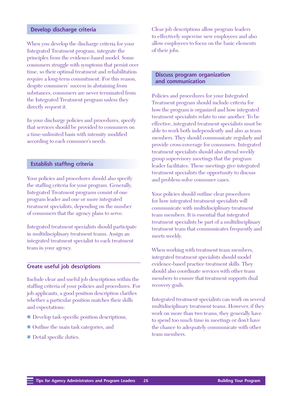#### **Develop discharge criteria**

When you develop the discharge criteria for your Integrated Treatment program, integrate the principles from the evidence-based model. Some consumers struggle with symptoms that persist over time, so their optimal treatment and rehabilitation require a long-term commitment. For this reason, despite consumers' success in abstaining from substances, consumers are never terminated from the Integrated Treatment program unless they directly request it.

In your discharge policies and procedures, specify that services should be provided to consumers on a time-unlimited basis with intensity modified according to each consumer's needs.

#### **Establish staffing criteria**

Your policies and procedures should also specify the staffing criteria for your program. Generally, Integrated Treatment programs consist of one program leader and one or more integrated treatment specialists, depending on the number of consumers that the agency plans to serve.

Integrated treatment specialists should participate in multidisciplinary treatment teams. Assign an integrated treatment specialist to each treatment team in your agency.

#### **Create useful job descriptions**

Include clear and useful job descriptions within the staffing criteria of your policies and procedures. For job applicants, a good position description clarifies whether a particular position matches their skills and expectations:

- Develop task-specific position descriptions,
- Outline the main task categories, and
- **n** Detail specific duties.

Clear job descriptions allow program leaders to effectively supervise new employees and also allow employees to focus on the basic elements of their jobs.

#### **Discuss program organization and communication**

Policies and procedures for your Integrated Treatment program should include criteria for how the program is organized and how integrated treatment specialists relate to one another. To be effective, integrated treatment specialists must be able to work both independently and also as team members. They should communicate regularly and provide cross-coverage for consumers. Integrated treatment specialists should also attend weekly group supervisory meetings that the program leader facilitates. These meetings give integrated treatment specialists the opportunity to discuss and problem-solve consumer cases.

Your policies should outline clear procedures for how integrated treatment specialists will communicate with multidisciplinary treatment team members. It is essential that integrated treatment specialists be part of a multidisciplinary treatment team that communicates frequently and meets weekly.

When working with treatment team members, integrated treatment specialists should model evidence-based practice treatment skills. They should also coordinate services with other team members to ensure that treatment supports dual recovery goals.

Integrated treatment specialists can work on several multidisciplinary treatment teams. However, if they work on more than two teams, they generally have to spend too much time in meetings or don't have the chance to adequately communicate with other team members.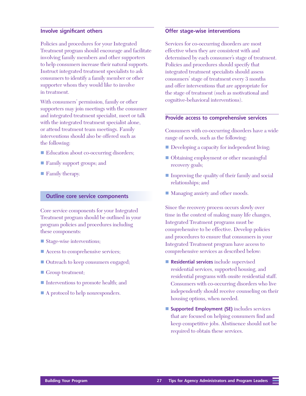#### **Involve significant others**

Policies and procedures for your Integrated Treatment program should encourage and facilitate involving family members and other supporters to help consumers increase their natural supports. Instruct integrated treatment specialists to ask consumers to identify a family member or other supporter whom they would like to involve in treatment.

With consumers' permission, family or other supporters may join meetings with the consumer and integrated treatment specialist, meet or talk with the integrated treatment specialist alone, or attend treatment team meetings. Family interventions should also be offered such as the following:

- Education about co-occurring disorders;
- **Family support groups; and**
- $\blacksquare$  Family therapy.

#### **Outline core service components**

Core service components for your Integrated Treatment program should be outlined in your program policies and procedures including these components:

- Stage-wise interventions;
- Access to comprehensive services;
- Outreach to keep consumers engaged;
- Group treatment;
- Interventions to promote health; and
- $\blacksquare$  A protocol to help nonresponders.

#### **Offer stage-wise interventions**

Services for co-occurring disorders are most effective when they are consistent with and determined by each consumer's stage of treatment. Policies and procedures should specify that integrated treatment specialists should assess consumers' stage of treatment every 3 months and offer interventions that are appropriate for the stage of treatment (such as motivational and cognitive-behavioral interventions).

#### **Provide access to comprehensive services**

Consumers with co-occurring disorders have a wide range of needs, such as the following:

- Developing a capacity for independent living;
- Obtaining employment or other meaningful recovery goals;
- Improving the quality of their family and social relationships; and
- Managing anxiety and other moods.

Since the recovery process occurs slowly over time in the context of making many life changes, Integrated Treatment programs must be comprehensive to be effective. Develop policies and procedures to ensure that consumers in your Integrated Treatment program have access to comprehensive services as described below:

- **Residential services** include supervised residential services, supported housing, and residential programs with onsite residential staff. Consumers with co-occurring disorders who live independently should receive counseling on their housing options, when needed.
- **Supported Employment (SE)** includes services that are focused on helping consumers find and keep competitive jobs. Abstinence should not be required to obtain these services.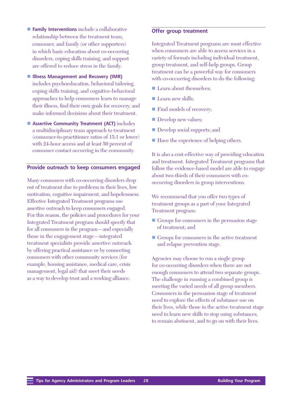- **Family Interventions** include a collaborative relationship between the treatment team, consumer, and family (or other supporters) in which basic education about co-occurring disorders, coping skills training, and support are offered to reduce stress in the family.
- Illness Management and Recovery (IMR) includes psychoeducation, behavioral tailoring, coping skills training, and cognitive-behavioral approaches to help consumers learn to manage their illness, find their own goals for recovery, and make informed decisions about their treatment.
- Assertive Community Treatment (ACT) includes a multidisciplinary team approach to treatment (consumer-to-practitioner ratios of 15:1 or lower) with 24-hour access and at least 50 percent of consumer contact occurring in the community.

#### **Provide outreach to keep consumers engaged**

Many consumers with co-occurring disorders drop out of treatment due to problems in their lives, low motivation, cognitive impairment, and hopelessness. Effective Integrated Treatment programs use assertive outreach to keep consumers engaged. For this reason, the policies and procedures for your Integrated Treatment program should specify that for all consumers in the program—and especially those in the engagement stage—integrated treatment specialists provide assertive outreach by offering practical assistance or by connecting consumers with other community services (for example, housing assistance, medical care, crisis management, legal aid) that meet their needs as a way to develop trust and a working alliance.

#### **Offer group treatment**

Integrated Treatment programs are most effective when consumers are able to access services in a variety of formats including individual treatment, group treatment, and self-help groups. Group treatment can be a powerful way for consumers with co-occurring disorders to do the following:

- Learn about themselves;
- $\blacksquare$  Learn new skills;
- Find models of recovery;
- **Develop new values;**
- Develop social supports; and
- Have the experience of helping others.

It is also a cost-effective way of providing education and treatment. Integrated Treatment programs that follow the evidence-based model are able to engage about two-thirds of their consumers with cooccurring disorders in group interventions.

We recommend that you offer two types of treatment groups as a part of your Integrated Treatment program:

- Groups for consumers in the persuasion stage of treatment; and
- $\blacksquare$  Groups for consumers in the active treatment and relapse prevention stage.

Agencies may choose to run a single group for co-occurring disorders when there are not enough consumers to attend two separate groups. The challenge in running a combined group is meeting the varied needs of all group members. Consumers in the persuasion stage of treatment need to explore the effects of substance use on their lives, while those in the active treatment stage need to learn new skills to stop using substances, to remain abstinent, and to go on with their lives.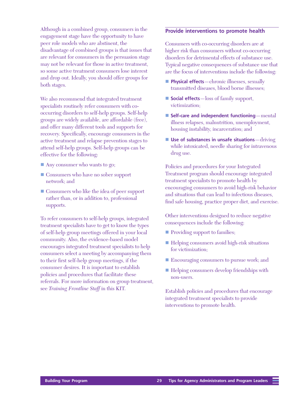Although in a combined group, consumers in the engagement stage have the opportunity to have peer role models who are abstinent, the disadvantage of combined groups is that issues that are relevant for consumers in the persuasion stage may not be relevant for those in active treatment, so some active treatment consumers lose interest and drop out. Ideally, you should offer groups for both stages.

We also recommend that integrated treatment specialists routinely refer consumers with cooccurring disorders to self-help groups. Self-help groups are widely available, are affordable (free), and offer many different tools and supports for recovery. Specifically, encourage consumers in the active treatment and relapse prevention stages to attend self-help groups. Self-help groups can be effective for the following:

- $\blacksquare$  Any consumer who wants to go;
- Consumers who have no sober support network; and
- Consumers who like the idea of peer support rather than, or in addition to, professional supports.

To refer consumers to self-help groups, integrated treatment specialists have to get to know the types of self-help group meetings offered in your local community. Also, the evidence-based model encourages integrated treatment specialists to help consumers select a meeting by accompanying them to their first self-help group meetings, if the consumer desires. It is important to establish policies and procedures that facilitate these referrals. For more information on group treatment, see *Training Frontline Staff* in this KIT.

#### **Provide interventions to promote health**

Consumers with co-occurring disorders are at higher risk than consumers without co-occurring disorders for detrimental effects of substance use. Typical negative consequences of substance use that are the focus of interventions include the following:

- **Physical effects**—chronic illnesses, sexually transmitted diseases, blood borne illnesses;
- **Social effects**—loss of family support, victimization;
- Self-care and independent functioning—mental illness relapses, malnutrition, unemployment, housing instability, incarceration; and
- **Use of substances in unsafe situations**—driving while intoxicated, needle sharing for intravenous drug use.

Policies and procedures for your Integrated Treatment program should encourage integrated treatment specialists to promote health by encouraging consumers to avoid high-risk behavior and situations that can lead to infectious diseases, find safe housing, practice proper diet, and exercise.

Other interventions designed to reduce negative consequences include the following:

- Providing support to families;
- Helping consumers avoid high-risk situations for victimization;
- Encouraging consumers to pursue work; and
- Helping consumers develop friendships with non-users.

Establish policies and procedures that encourage integrated treatment specialists to provide interventions to promote health.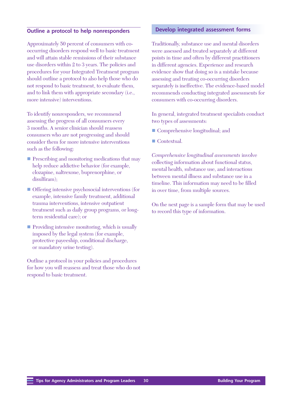#### **Outline a protocol to help nonresponders**

Approximately 50 percent of consumers with cooccurring disorders respond well to basic treatment and will attain stable remissions of their substance use disorders within 2 to 3 years. The policies and procedures for your Integrated Treatment program should outline a protocol to also help those who do not respond to basic treatment, to evaluate them, and to link them with appropriate secondary (i.e., more intensive) interventions.

To identify nonresponders, we recommend assessing the progress of all consumers every 3 months. A senior clinician should reassess consumers who are not progressing and should consider them for more intensive interventions such as the following:

- **n** Prescribing and monitoring medications that may help reduce addictive behavior (for example, clozapine, naltrexone, buprenorphine, or disulfiram);
- $\blacksquare$  Offering intensive psychosocial interventions (for example, intensive family treatment, additional trauma interventions, intensive outpatient treatment such as daily group programs, or longterm residential care); or
- $\blacksquare$  Providing intensive monitoring, which is usually imposed by the legal system (for example, protective payeeship, conditional discharge, or mandatory urine testing).

Outline a protocol in your policies and procedures for how you will reassess and treat those who do not respond to basic treatment.

#### **Develop integrated assessment forms**

Traditionally, substance use and mental disorders were assessed and treated separately at different points in time and often by different practitioners in different agencies. Experience and research evidence show that doing so is a mistake because assessing and treating co-occurring disorders separately is ineffective. The evidence-based model recommends conducting integrated assessments for consumers with co-occurring disorders.

In general, integrated treatment specialists conduct two types of assessments:

- Comprehensive longitudinal; and
- Contextual.

*Comprehensive longitudinal assessments* involve collecting information about functional status, mental health, substance use, and interactions between mental illness and substance use in a timeline. This information may need to be filled in over time, from multiple sources.

On the next page is a sample form that may be used to record this type of information.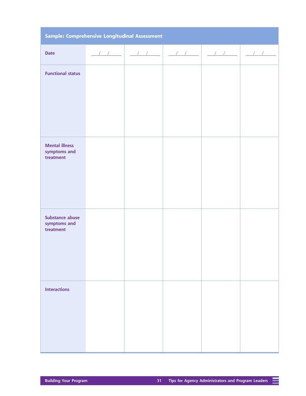|  | Sample: Comprehensive Longitudinal Assessment |  |
|--|-----------------------------------------------|--|

≡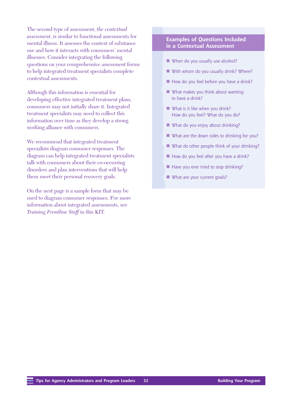The second type of assessment, *the contextual assessment*, is similar to functional assessments for mental illness. It assesses the context of substance use and how it interacts with consumers' mental illnesses. Consider integrating the following questions on your comprehensive assessment forms to help integrated treatment specialists complete contextual assessments.

Although this information is essential for developing effective integrated treatment plans, consumers may not initially share it. Integrated treatment specialists may need to collect this information over time as they develop a strong working alliance with consumers.

We recommend that integrated treatment specialists diagram consumer responses. The diagram can help integrated treatment specialists talk with consumers about their co-occurring disorders and plan interventions that will help them meet their personal recovery goals.

On the next page is a sample form that may be used to diagram consumer responses. For more information about integrated assessments, see *Training Frontline Staff* in this KIT.

#### **Examples of Questions Included in a Contextual Assessment**

- $\blacksquare$  When do you usually use alcohol?
- $\blacksquare$  With whom do you usually drink? Where?
- $\blacksquare$  How do you feel before you have a drink?
- $\blacksquare$  What makes you think about wanting to have a drink?
- $\blacksquare$  What is it like when you drink? How do you feel? What do you do?
- $\blacksquare$  What do you enjoy about drinking?
- $\blacksquare$  What are the down sides to drinking for you?
- $\blacksquare$  What do other people think of your drinking?
- $\blacksquare$  How do you feel after you have a drink?
- $\blacksquare$  Have you ever tried to stop drinking?
- $\blacksquare$  What are your current goals?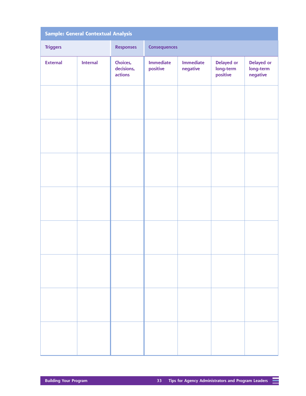|                 | <b>Sample: General Contextual Analysis</b> |                                   |                              |                              |                                     |                                     |
|-----------------|--------------------------------------------|-----------------------------------|------------------------------|------------------------------|-------------------------------------|-------------------------------------|
| <b>Triggers</b> |                                            | <b>Responses</b>                  | <b>Consequences</b>          |                              |                                     |                                     |
| <b>External</b> | <b>Internal</b>                            | Choices,<br>decisions,<br>actions | <b>Immediate</b><br>positive | <b>Immediate</b><br>negative | Delayed or<br>long-term<br>positive | Delayed or<br>long-term<br>negative |
|                 |                                            |                                   |                              |                              |                                     |                                     |
|                 |                                            |                                   |                              |                              |                                     |                                     |
|                 |                                            |                                   |                              |                              |                                     |                                     |
|                 |                                            |                                   |                              |                              |                                     |                                     |
|                 |                                            |                                   |                              |                              |                                     |                                     |
|                 |                                            |                                   |                              |                              |                                     |                                     |
|                 |                                            |                                   |                              |                              |                                     |                                     |
|                 |                                            |                                   |                              |                              |                                     |                                     |

≡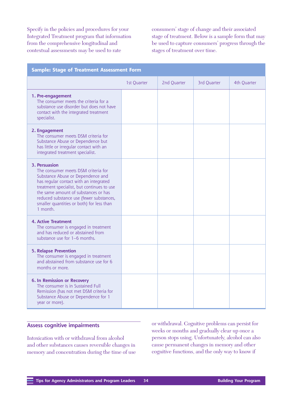Specify in the policies and procedures for your Integrated Treatment program that information from the comprehensive longitudinal and contextual assessments may be used to rate

consumers' stage of change and their associated stage of treatment. Below is a sample form that may be used to capture consumers' progress through the stages of treatment over time.

| <b>Sample: Stage of Treatment Assessment Form</b>                                                                                                                                                                                                                                                                              |             |             |             |             |
|--------------------------------------------------------------------------------------------------------------------------------------------------------------------------------------------------------------------------------------------------------------------------------------------------------------------------------|-------------|-------------|-------------|-------------|
|                                                                                                                                                                                                                                                                                                                                | 1st Quarter | 2nd Quarter | 3rd Quarter | 4th Quarter |
| 1. Pre-engagement<br>The consumer meets the criteria for a<br>substance use disorder but does not have<br>contact with the integrated treatment<br>specialist.                                                                                                                                                                 |             |             |             |             |
| 2. Engagement<br>The consumer meets DSM criteria for<br>Substance Abuse or Dependence but<br>has little or irregular contact with an<br>integrated treatment specialist.                                                                                                                                                       |             |             |             |             |
| 3. Persuasion<br>The consumer meets DSM criteria for<br>Substance Abuse or Dependence and<br>has regular contact with an integrated<br>treatment specialist, but continues to use<br>the same amount of substances or has<br>reduced substance use (fewer substances,<br>smaller quantities or both) for less than<br>1 month. |             |             |             |             |
| 4. Active Treatment<br>The consumer is engaged in treatment<br>and has reduced or abstained from<br>substance use for 1-6 months.                                                                                                                                                                                              |             |             |             |             |
| <b>5. Relapse Prevention</b><br>The consumer is engaged in treatment<br>and abstained from substance use for 6<br>months or more.                                                                                                                                                                                              |             |             |             |             |
| <b>6. In Remission or Recovery</b><br>The consumer is in Sustained Full<br>Remission (has not met DSM criteria for<br>Substance Abuse or Dependence for 1<br>year or more).                                                                                                                                                    |             |             |             |             |

#### **Assess cognitive impairments**

Intoxication with or withdrawal from alcohol and other substances causes reversible changes in memory and concentration during the time of use or withdrawal. Cognitive problems can persist for weeks or months and gradually clear up once a person stops using. Unfortunately, alcohol can also cause permanent changes in memory and other cognitive functions, and the only way to know if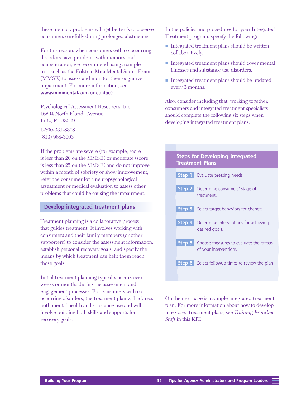these memory problems will get better is to observe consumers carefully during prolonged abstinence.

For this reason, when consumers with co-occurring disorders have problems with memory and concentration, we recommend using a simple test, such as the Folstein Mini Mental Status Exam (MMSE) to assess and monitor their cognitive impairment. For more information, see **[www.minimental.com](http://www.minimental.com)** or contact:

Psychological Assessment Resources, Inc. 16204 North Florida Avenue Lutz, FL 33549 1-800-331-8378 (813) 968-3003

If the problems are severe (for example, score is less than 20 on the MMSE) or moderate (score is less than 25 on the MMSE) and do not improve within a month of sobriety or show improvement, refer the consumer for a neuropsychological assessment or medical evaluation to assess other problems that could be causing the impairment.

#### **Develop integrated treatment plans**

Treatment planning is a collaborative process that guides treatment. It involves working with consumers and their family members (or other supporters) to consider the assessment information, establish personal recovery goals, and specify the means by which treatment can help them reach those goals.

Initial treatment planning typically occurs over weeks or months during the assessment and engagement processes. For consumers with cooccurring disorders, the treatment plan will address both mental health and substance use and will involve building both skills and supports for recovery goals.

In the policies and procedures for your Integrated Treatment program, specify the following:

- Integrated treatment plans should be written collaboratively.
- Integrated treatment plans should cover mental illnesses and substance use disorders.
- Integrated treatment plans should be updated every 3 months.

Also, consider including that, working together, consumers and integrated treatment specialists should complete the following six steps when developing integrated treatment plans:

| <b>Steps for Developing Integrated</b><br><b>Treatment Plans</b>                |
|---------------------------------------------------------------------------------|
| <b>Step 1</b> Evaluate pressing needs.                                          |
| <b>Step 2</b> Determine consumers' stage of<br>treatment.                       |
| <b>Step 3</b> Select target behaviors for change.                               |
| <b>Step 4</b> Determine interventions for achieving<br>desired goals.           |
| <b>Step 5</b> Choose measures to evaluate the effects<br>of your interventions. |
| <b>Step 6</b> Select followup times to review the plan.                         |

On the next page is a sample integrated treatment plan. For more information about how to develop integrated treatment plans, see *Training Frontline Staff* in this KIT.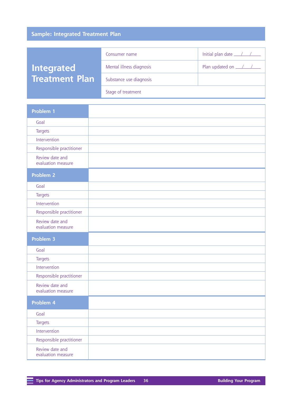## **Sample: Integrated Treatment Plan**

|                       | Consumer name            | Initial plan date $\angle$ / / |
|-----------------------|--------------------------|--------------------------------|
| <b>Integrated</b>     | Mental illness diagnosis | Plan updated on <u>111</u>     |
| <b>Treatment Plan</b> | Substance use diagnosis  |                                |
|                       | Stage of treatment       |                                |

| Problem 1                             |  |
|---------------------------------------|--|
| Goal                                  |  |
| <b>Targets</b>                        |  |
| Intervention                          |  |
| Responsible practitioner              |  |
| Review date and<br>evaluation measure |  |
| Problem 2                             |  |
| Goal                                  |  |
| <b>Targets</b>                        |  |
| Intervention                          |  |
| Responsible practitioner              |  |
| Review date and<br>evaluation measure |  |
| Problem 3                             |  |
| Goal                                  |  |
| <b>Targets</b>                        |  |
| Intervention                          |  |
| Responsible practitioner              |  |
|                                       |  |
| Review date and<br>evaluation measure |  |
| Problem 4                             |  |
| Goal                                  |  |
| <b>Targets</b>                        |  |
| Intervention                          |  |
| Responsible practitioner              |  |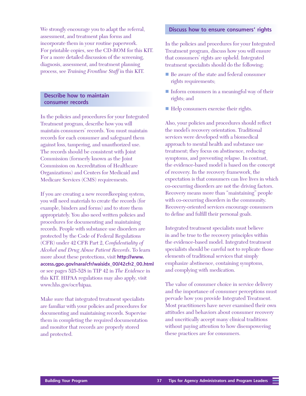We strongly encourage you to adapt the referral, assessment, and treatment plan forms and incorporate them in your routine paperwork. For printable copies, see the CD-ROM for this KIT. For a more detailed discussion of the screening, diagnosis, assessment, and treatment planning process, see *Training Frontline Staff* in this KIT.

#### **Describe how to maintain consumer records**

In the policies and procedures for your Integrated Treatment program, describe how you will maintain consumers' records. You must maintain records for each consumer and safeguard them against loss, tampering, and unauthorized use. The records should be consistent with Joint Commission (formerly known as the Joint Commission on Accreditation of Healthcare Organizations) and Centers for Medicaid and Medicare Services (CMS) requirements.

If you are creating a new recordkeeping system, you will need materials to create the records (for example, binders and forms) and to store them appropriately. You also need written policies and procedures for documenting and maintaining records. People with substance use disorders are protected by the Code of Federal Regulations (CFR) under 42 CFR Part 2, *Confidentiality of Alcohol and Drug Abuse Patient Records*. To learn more about these protections, visit **http://www. [access.gpo.gov/nara/cfr/waisidx\\_00/42cfr2\\_00.html](http://www.access.gpo.gov/nara/cfr/waisidx_00/42cfr2_00.html)** or see pages 525-528 in TIP 42 in *The Evidence* in this KIT. HIPAA regulations may also apply, visit [www.hhs.gov/ocr/hipaa](http://www.hhs.gov/ocr/hipaa).

Make sure that integrated treatment specialists are familiar with your policies and procedures for documenting and maintaining records. Supervise them in completing the required documentation and monitor that records are properly stored and protected.

#### **Discuss how to ensure consumers' rights**

In the policies and procedures for your Integrated Treatment program, discuss how you will ensure that consumers' rights are upheld. Integrated treatment specialists should do the following:

- Be aware of the state and federal consumer rights requirements;
- Inform consumers in a meaningful way of their rights; and
- Help consumers exercise their rights.

Also, your policies and procedures should reflect the model's recovery orientation. Traditional services were developed with a biomedical approach to mental health and substance use treatment; they focus on abstinence, reducing symptoms, and preventing relapse. In contrast, the evidence-based model is based on the concept of recovery. In the recovery framework, the expectation is that consumers can live lives in which co-occurring disorders are not the driving factors. Recovery means more than "maintaining" people with co-occurring disorders in the community. Recovery-oriented services encourage consumers to define and fulfill their personal goals.

Integrated treatment specialists must believe in and be true to the recovery principles within the evidence-based model. Integrated treatment specialists should be careful not to replicate those elements of traditional services that simply emphasize abstinence, containing symptoms, and complying with medication.

The value of consumer choice in service delivery and the importance of consumer perceptions must pervade how you provide Integrated Treatment. Most practitioners have never examined their own attitudes and behaviors about consumer recovery and uncritically accept many clinical traditions without paying attention to how disempowering these practices are for consumers.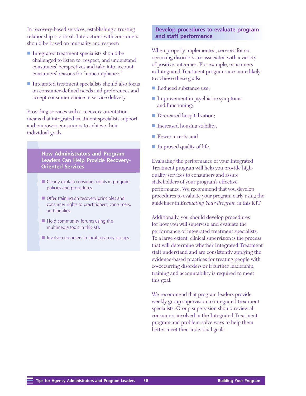In recovery-based services, establishing a trusting relationship is critical. Interactions with consumers should be based on mutuality and respect:

- Integrated treatment specialists should be challenged to listen to, respect, and understand consumers' perspectives and take into account consumers' reasons for "noncompliance."
- $\blacksquare$  Integrated treatment specialists should also focus on consumer-defined needs and preferences and accept consumer choice in service delivery.

Providing services with a recovery orientation means that integrated treatment specialists support and empower consumers to achieve their individual goals.

> **How Administrators and Program Leaders Can Help Provide Recovery-Oriented Services**

- $\blacksquare$  Clearly explain consumer rights in program policies and procedures.
- $\blacksquare$  Offer training on recovery principles and consumer rights to practitioners, consumers, and families.
- $\blacksquare$  Hold community forums using the multimedia tools in this KIT.
- $\blacksquare$  Involve consumers in local advisory groups.

#### **Develop procedures to evaluate program and staff performance**

When properly implemented, services for cooccurring disorders are associated with a variety of positive outcomes. For example, consumers in Integrated Treatment programs are more likely to achieve these goals:

- Reduced substance use;
- $\blacksquare$  Improvement in psychiatric symptoms and functioning;
- Decreased hospitalization;
- Increased housing stability;
- Fewer arrests: and
- Improved quality of life.

Evaluating the performance of your Integrated Treatment program will help you provide highquality services to consumers and assure stakeholders of your program's effective performance. We recommend that you develop procedures to evaluate your program early using the guidelines in *Evaluating Your Program* in this KIT.

Additionally, you should develop procedures for how you will supervise and evaluate the performance of integrated treatment specialists. To a large extent, clinical supervision is the process that will determine whether Integrated Treatment staff understand and are consistently applying the evidence-based practices for treating people with co-occurring disorders or if further leadership, training and accountability is required to meet this goal.

We recommend that program leaders provide weekly group supervision to integrated treatment specialists. Group supervision should review all consumers involved in the Integrated Treatment program and problem-solve ways to help them better meet their individual goals.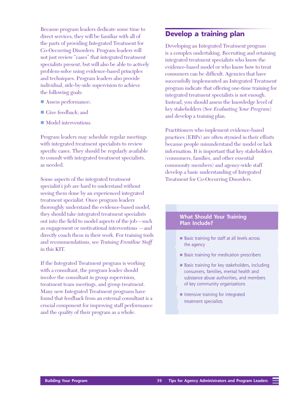Because program leaders dedicate some time to direct services, they will be familiar with all of the parts of providing Integrated Treatment for Co-Occurring Disorders. Program leaders will not just review "cases" that integrated treatment specialists present, but will also be able to actively problem-solve using evidence-based principles and techniques. Program leaders also provide individual, side-by-side supervision to achieve the following goals:

- **n** Assess performance;
- Give feedback: and
- $\blacksquare$  Model interventions.

Program leaders may schedule regular meetings with integrated treatment specialists to review specific cases. They should be regularly available to consult with integrated treatment specialists, as needed.

Some aspects of the integrated treatment specialist's job are hard to understand without seeing them done by an experienced integrated treatment specialist. Once program leaders thoroughly understand the evidence-based model, they should take integrated treatment specialists out into the field to model aspects of the job—such as engagement or motivational interventions —and directly coach them in their work. For training tools and recommendations, see *Training Frontline Staff* in this KIT.

If the Integrated Treatment program is working with a consultant, the program leader should involve the consultant in group supervision, treatment team meetings, and group treatment. Many new Integrated Treatment programs have found that feedback from an external consultant is a crucial component for improving staff performance and the quality of their program as a whole.

## **Develop a training plan**

Developing an Integrated Treatment program is a complex undertaking. Recruiting and retaining integrated treatment specialists who know the evidence-based model or who know how to treat consumers can be difficult. Agencies that have successfully implemented an Integrated Treatment program indicate that offering one-time training for integrated treatment specialists is not enough. Instead, you should assess the knowledge level of key stakeholders (See *Evaluating Your Program*) and develop a training plan.

Practitioners who implement evidence-based practices (EBPs) are often stymied in their efforts because people misunderstand the model or lack information. It is important that key stakeholders (consumers, families, and other essential community members) and agency-wide staff develop a basic understanding of Integrated Treatment for Co-Occurring Disorders.

#### **What Should Your Training Plan Include?**

- Basic training for staff at all levels across the agency
- Basic training for medication prescribers
- $\blacksquare$  Basic training for key stakeholders, including consumers, families, mental health and substance abuse authorities, and members of key community organizations
- $\blacksquare$  Intensive training for integrated treatment specialists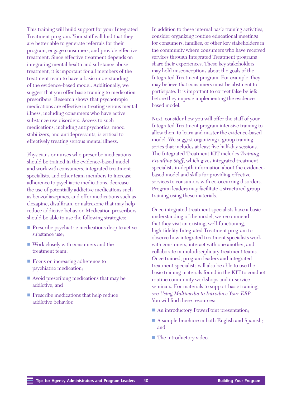This training will build support for your Integrated Treatment program. Your staff will find that they are better able to generate referrals for their program, engage consumers, and provide effective treatment. Since effective treatment depends on integrating mental health and substance abuse treatment, it is important for all members of the treatment team to have a basic understanding of the evidence-based model. Additionally, we suggest that you offer basic training to medication prescribers. Research shows that psychotropic medications are effective in treating serious mental illness, including consumers who have active substance use disorders. Access to such medications, including antipsychotics, mood stabilizers, and antidepressants, is critical to effectively treating serious mental illness.

Physicians or nurses who prescribe medications should be trained in the evidence-based model and work with consumers, integrated treatment specialists, and other team members to increase adherence to psychiatric medications, decrease the use of potentially addictive medications such as benzodiazepines, and offer medications such as clozapine, disulfiram, or naltrexone that may help reduce addictive behavior. Medication prescribers should be able to use the following strategies:

- **n** Prescribe psychiatric medications despite active substance use;
- Work closely with consumers and the treatment team;
- Focus on increasing adherence to psychiatric medication;
- $\blacksquare$  Avoid prescribing medications that may be addictive; and
- **n** Prescribe medications that help reduce addictive behavior.

In addition to these internal basic training activities, consider organizing routine educational meetings for consumers, families, or other key stakeholders in the community where consumers who have received services through Integrated Treatment programs share their experiences. These key stakeholders may hold misconceptions about the goals of the Integrated Treatment program. For example, they may believe that consumers must be abstinent to participate. It is important to correct false beliefs before they impede implementing the evidencebased model.

Next, consider how you will offer the staff of your Integrated Treatment program intensive training to allow them to learn and master the evidence-based model. We suggest organizing a group training series that includes at least five half-day sessions. The Integrated Treatment KIT includes *Training Frontline Staff*, which gives integrated treatment specialists in-depth information about the evidencebased model and skills for providing effective services to consumers with co-occurring disorders. Program leaders may facilitate a structured group training using these materials.

Once integrated treatment specialists have a basic understanding of the model, we recommend that they visit an existing, well-functioning, high-fidelity Integrated Treatment program to observe how integrated treatment specialists work with consumers, interact with one another, and collaborate in multidisciplinary treatment teams. Once trained, program leaders and integrated treatment specialists will also be able to use the basic training materials found in the KIT to conduct routine community workshops and in-service seminars. For materials to support basic training, see *Using Multimedia to Introduce Your EBP*. You will find these resources:

- An introductory PowerPoint presentation;
- A sample brochure in both English and Spanish; and
- The introductory video.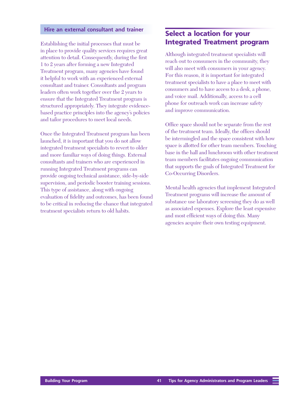#### **Hire an external consultant and trainer**

Establishing the initial processes that must be in place to provide quality services requires great attention to detail. Consequently, during the first 1 to 2 years after forming a new Integrated Treatment program, many agencies have found it helpful to work with an experienced external consultant and trainer. Consultants and program leaders often work together over the 2 years to ensure that the Integrated Treatment program is structured appropriately. They integrate evidencebased practice principles into the agency's policies and tailor procedures to meet local needs.

Once the Integrated Treatment program has been launched, it is important that you do not allow integrated treatment specialists to revert to older and more familiar ways of doing things. External consultants and trainers who are experienced in running Integrated Treatment programs can provide ongoing technical assistance, side-by-side supervision, and periodic booster training sessions. This type of assistance, along with ongoing evaluation of fidelity and outcomes, has been found to be critical in reducing the chance that integrated treatment specialists return to old habits.

## **Select a location for your Integrated Treatment program**

Although integrated treatment specialists will reach out to consumers in the community, they will also meet with consumers in your agency. For this reason, it is important for integrated treatment specialists to have a place to meet with consumers and to have access to a desk, a phone, and voice mail. Additionally, access to a cell phone for outreach work can increase safety and improve communication.

Office space should not be separate from the rest of the treatment team. Ideally, the offices should be intermingled and the space consistent with how space is allotted for other team members. Touching base in the hall and lunchroom with other treatment team members facilitates ongoing communication that supports the goals of Integrated Treatment for Co-Occurring Disorders.

Mental health agencies that implement Integrated Treatment programs will increase the amount of substance use laboratory screening they do as well as associated expenses. Explore the least expensive and most efficient ways of doing this. Many agencies acquire their own testing equipment.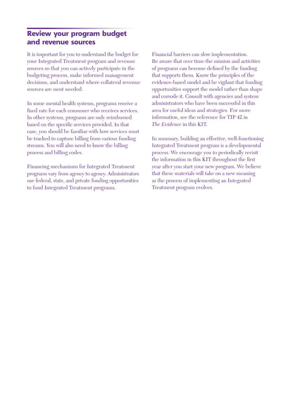## **Review your program budget and revenue sources**

It is important for you to understand the budget for your Integrated Treatment program and revenue sources so that you can actively participate in the budgeting process, make informed management decisions, and understand where collateral revenue sources are most needed.

In some mental health systems, programs receive a fixed rate for each consumer who receives services. In other systems, programs are only reimbursed based on the specific services provided. In that case, you should be familiar with how services must be tracked to capture billing from various funding streams. You will also need to know the billing process and billing codes.

Financing mechanisms for Integrated Treatment programs vary from agency to agency. Administrators use federal, state, and private funding opportunities to fund Integrated Treatment programs.

Financial barriers can slow implementation. Be aware that over time the mission and activities of programs can become defined by the funding that supports them. Know the principles of the evidence-based model and be vigilant that funding opportunities support the model rather than shape and corrode it. Consult with agencies and system administrators who have been successful in this area for useful ideas and strategies. For more information, see the reference for TIP 42 in *The Evidence* in this KIT.

In summary, building an effective, well-functioning Integrated Treatment program is a developmental process. We encourage you to periodically revisit the information in this KIT throughout the first year after you start your new program. We believe that these materials will take on a new meaning as the process of implementing an Integrated Treatment program evolves.